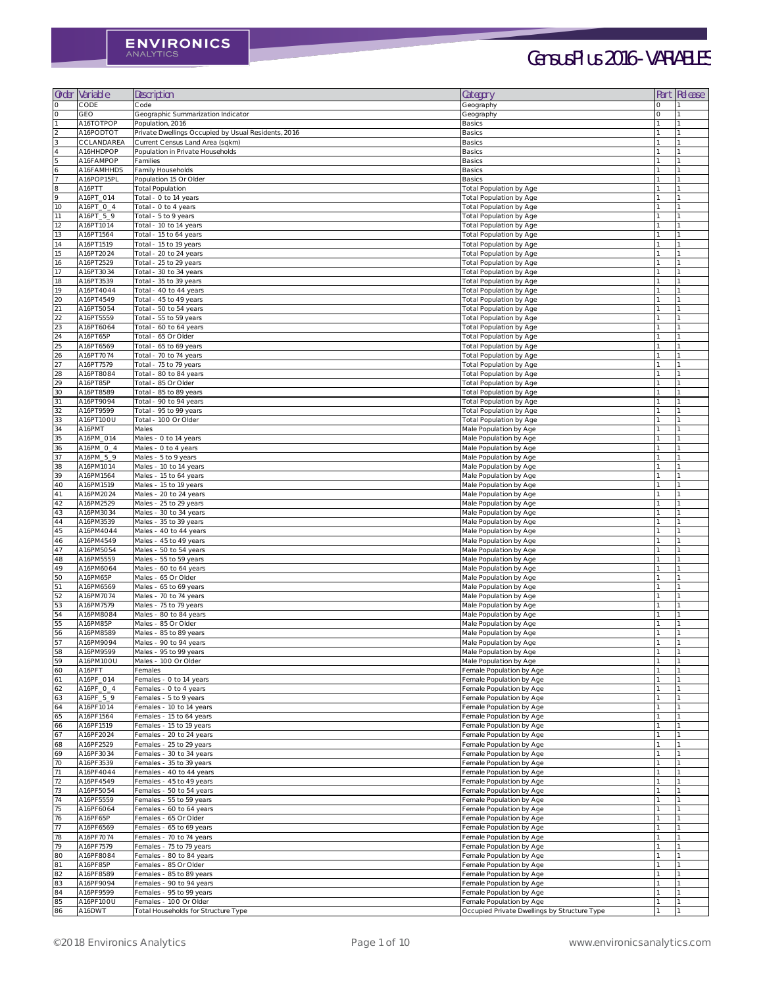| Order           | Variable               | Description                                          | Category                                             | Part | Release |
|-----------------|------------------------|------------------------------------------------------|------------------------------------------------------|------|---------|
| $\bigcirc$      | CODE                   | Code                                                 | Geography                                            |      |         |
| $\bigcirc$      | <b>GEO</b>             | Geographic Summarization Indicator                   | Geography                                            |      |         |
|                 | A16TOTPOP              | Population, 2016                                     | <b>Basics</b>                                        |      |         |
|                 | A16PODTOT              | Private Dwellings Occupied by Usual Residents, 2016  | <b>Basics</b>                                        |      |         |
|                 | CCLANDAREA             | Current Census Land Area (sqkm)                      | <b>Basics</b>                                        |      |         |
|                 | A16HHDPOP              | Population in Private Households                     | <b>Basics</b>                                        |      |         |
|                 | A16FAMPOP              | Families                                             | <b>Basics</b>                                        |      |         |
| 6               | A16FAMHHDS             | Family Households                                    | <b>Basics</b>                                        |      |         |
|                 | A16POP15PL             | Population 15 Or Older                               | <b>Basics</b>                                        |      |         |
| $\,8\,$         | A16PTT                 | <b>Total Population</b>                              | Total Population by Age                              |      |         |
| $\circ$         | A16PT_014              | Total - O to 14 years                                | Total Population by Age                              |      |         |
| 10              | A16PT_0_4              | Total - O to 4 years                                 | Total Population by Age                              |      |         |
| 11              | A16PT_5_9              | Total - 5 to 9 years                                 | Total Population by Age                              |      |         |
| 12              | A16PT1014              | Total - 10 to 14 years                               | Total Population by Age                              |      |         |
| 13              | A16PT1564              | Total - 15 to 64 years                               | Total Population by Age                              |      |         |
| 14              | A16PT1519              | Total - 15 to 19 years                               | Total Population by Age                              |      |         |
| 15              | A16PT2024              | Total - 20 to 24 years                               | <b>Total Population by Age</b>                       |      |         |
| 16              | A16PT2529              | Total - 25 to 29 years                               | <b>Total Population by Age</b>                       |      |         |
| 17              | A16PT3034              | Total - 30 to 34 years                               | Total Population by Age                              |      |         |
| 18              | A16PT3539              | Total - 35 to 39 years                               | Total Population by Age                              |      |         |
| 19              | A16PT4O44              | Total - 40 to 44 years                               | <b>Total Population by Age</b>                       |      |         |
| 20<br>21        | A16PT4549<br>A16PT5054 | Total - 45 to 49 years                               | <b>Total Population by Age</b>                       |      |         |
| 22              | A16PT5559              | Total - 50 to 54 years<br>Total - 55 to 59 years     | Total Population by Age<br>Total Population by Age   |      |         |
| 23              | A16PT6064              | Total - 60 to 64 years                               | Total Population by Age                              |      |         |
| 24              | A16PT65P               | Total - 65 Or Older                                  | Total Population by Age                              |      |         |
| 25              | A16PT6569              | Total - 65 to 69 years                               | Total Population by Age                              |      |         |
| 26              | A16PT7074              | Total - 70 to 74 years                               | Total Population by Age                              |      |         |
| 27              | A16PT7579              | Total - 75 to 79 years                               | <b>Total Population by Age</b>                       |      |         |
| 28              | A16PT8084              | Total - 80 to 84 years                               | <b>Total Population by Age</b>                       |      |         |
| 29              | A16PT85P               | Total - 85 Or Older                                  | Total Population by Age                              |      |         |
| 30 <sup>°</sup> | A16PT8589              | Total - 85 to 89 years                               | <b>Total Population by Age</b>                       |      |         |
| 31              | A16PT9094              | Total - 90 to 94 years                               | Total Population by Age                              |      |         |
| 32              | A16PT9599              | Total - 95 to 99 years                               | <b>Total Population by Age</b>                       |      |         |
| 33              | A16PT100U              | Total - 100 Or Older                                 | <b>Total Population by Age</b>                       |      |         |
| 34              | A16PMT                 | Males                                                | Male Population by Age                               |      |         |
| 35              | A16PM_014              | Males - 0 to 14 years                                | Male Population by Age                               |      |         |
| 36              | A16PM_O_4              | Males - 0 to 4 years                                 | Male Population by Age                               |      |         |
| 37              | A16PM_5_9              | Males - 5 to 9 years                                 | Male Population by Age                               |      |         |
| 38              | A16PM1014              | Males - 10 to 14 years                               | Male Population by Age                               |      |         |
| 39              | A16PM1564              | Males - 15 to 64 years                               | Male Population by Age                               |      |         |
| 40              | A16PM1519              | Males - 15 to 19 years                               | Male Population by Age                               |      |         |
| 41<br>42        | A16PM2024<br>A16PM2529 | Males - 20 to 24 years<br>Males - 25 to 29 years     | Male Population by Age<br>Male Population by Age     |      |         |
| 43              | A16PM3034              | Males - 30 to 34 years                               | Male Population by Age                               |      |         |
| $44$            | A16PM3539              | Males - 35 to 39 years                               | Male Population by Age                               |      |         |
| 45              | A16PM4044              | Males - 40 to 44 years                               | Male Population by Age                               |      |         |
| 46              | A16PM4549              | Males - 45 to 49 years                               | Male Population by Age                               |      |         |
| 47              | A16PM5054              | Males - 50 to 54 years                               | Male Population by Age                               |      |         |
| 48              | A16PM5559              | Males - 55 to 59 years                               | Male Population by Age                               |      |         |
| 49              | A16PM6064              | Males - 60 to 64 years                               | Male Population by Age                               |      |         |
| 50              | A16PM65P               | Males - 65 Or Older                                  | Male Population by Age                               |      |         |
| 51              | A16PM6569              | Males - 65 to 69 years                               | Male Population by Age                               |      |         |
| 52              | A16PM7074              | Males - 70 to 74 years                               | Male Population by Age                               |      |         |
| 53              | A16PM7579              | Males - 75 to 79 years                               | Male Population by Age                               |      |         |
| 54              | A16PM8084              | Males - 80 to 84 years                               | Male Population by Age                               |      |         |
| 55              | A16PM85P               | Males - 85 Or Older                                  | Male Population by Age                               |      |         |
| 56              | A16PM8589              | Males - 85 to 89 years                               | Male Population by Age                               |      |         |
| 57              | A16PM9094              | Males - 90 to 94 years                               | Male Population by Age                               |      |         |
| 58              | A16PM9599              | Males - 95 to 99 years                               | Male Population by Age                               |      |         |
| 59              | A16PM100U              | Males - 100 Or Older                                 | Male Population by Age                               |      |         |
| 60              | A16PFT                 | Females                                              | Female Population by Age                             |      |         |
| 61              | A16PF_014<br>A16PF_0_4 | Females - 0 to 14 years                              | Female Population by Age                             |      |         |
| 62<br>63        | A16PF_5_9              | Females - O to 4 years<br>Females - 5 to 9 years     | Female Population by Age<br>Female Population by Age |      |         |
| 64              | A16PF1014              | Females - 10 to 14 years                             | Female Population by Age                             |      |         |
| 65              | A16PF1564              | Females - 15 to 64 years                             | Female Population by Age                             |      |         |
| 66              | A16PF1519              | Females - 15 to 19 years                             | Female Population by Age                             |      |         |
| 67              | A16PF2024              | Females - 20 to 24 years                             | Female Population by Age                             |      |         |
| 68              | A16PF2529              | Females - 25 to 29 years                             | Female Population by Age                             |      |         |
| 69              | A16PF3034              | Females - 30 to 34 years                             | Female Population by Age                             |      |         |
| 70              | A16PF3539              | Females - 35 to 39 years                             | Female Population by Age                             |      |         |
| 71              | A16PF4044              | Females - 40 to 44 years                             | Female Population by Age                             |      |         |
| 72              | A16PF4549              | Females - 45 to 49 years                             | Female Population by Age                             |      |         |
| 73              | A16PF5054              | Females - 50 to 54 years                             | Female Population by Age                             |      |         |
| 74              | A16PF5559              | Females - 55 to 59 years                             | Female Population by Age                             |      |         |
| 75              | A16PF6064              | Females - 60 to 64 years                             | Female Population by Age                             |      |         |
| 76              | A16PF65P               | Females - 65 Or Older                                | Female Population by Age                             |      |         |
| 77              | A16PF6569              | Females - 65 to 69 years                             | Female Population by Age                             |      |         |
| 78              | A16PF7074              | Females - 70 to 74 years                             | Female Population by Age                             |      |         |
| 79              | A16PF7579              | Females - 75 to 79 years                             | Female Population by Age                             |      |         |
| 80              | A16PF8084              | Females - 80 to 84 years                             | Female Population by Age                             |      |         |
| 81              | A16PF85P               | Females - 85 Or Older                                | Female Population by Age                             |      |         |
| 82<br>83        | A16PF8589<br>A16PF9094 | Females - 85 to 89 years                             | Female Population by Age                             |      |         |
| 84              | A16PF9599              | Females - 90 to 94 years<br>Females - 95 to 99 years | Female Population by Age<br>Female Population by Age |      |         |
| 85              | A16PF100U              | Females - 100 Or Older                               | Female Population by Age                             |      |         |
| 86              | A16DWT                 | Total Households for Structure Type                  | Occupied Private Dwellings by Structure Type         |      |         |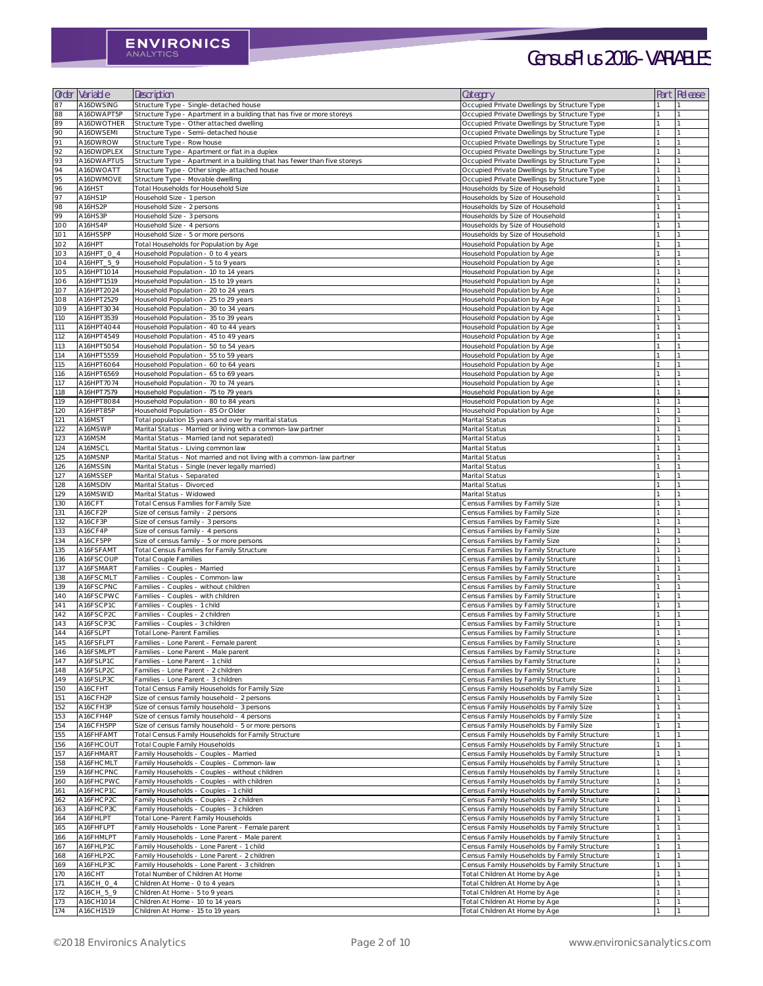| Order      | Variable                 | Description                                                                                                                 | Category                                                                                     | Part | Release |
|------------|--------------------------|-----------------------------------------------------------------------------------------------------------------------------|----------------------------------------------------------------------------------------------|------|---------|
| 87         | A16DWSING                | Structure Type - Single-detached house                                                                                      | Occupied Private Dwellings by Structure Type                                                 |      |         |
| 88<br>89   | A16DWAPT5P<br>A16DWOTHER | Structure Type - Apartment in a building that has five or more storeys<br>Structure Type - Other attached dwelling          | Occupied Private Dwellings by Structure Type<br>Occupied Private Dwellings by Structure Type |      |         |
| 90         | A16DWSEMI                | Structure Type - Semi-detached house                                                                                        | Occupied Private Dwellings by Structure Type                                                 |      |         |
| 91         | A16DWROW                 | Structure Type - Row house                                                                                                  | Occupied Private Dwellings by Structure Type                                                 |      |         |
| 92<br>93   | A16DWDPLEX<br>A16DWAPTU5 | Structure Type - Apartment or flat in a duplex<br>Structure Type - Apartment in a building that has fewer than five storeys | Occupied Private Dwellings by Structure Type<br>Occupied Private Dwellings by Structure Type |      |         |
| 94         | A16DWOATT                | Structure Type - Other single-attached house                                                                                | Occupied Private Dwellings by Structure Type                                                 |      |         |
| 95         | A16DWMOVE                | Structure Type - Movable dwelling                                                                                           | Occupied Private Dwellings by Structure Type                                                 |      |         |
| 96<br>97   | A16HST<br>A16HS1P        | Total Households for Household Size<br>Household Size - 1 person                                                            | Households by Size of Household<br>Households by Size of Household                           |      |         |
| 98         | A16HS2P                  | Household Size - 2 persons                                                                                                  | Households by Size of Household                                                              |      |         |
| 99<br>100  | A16HS3P<br>A16HS4P       | Household Size - 3 persons<br>Household Size - 4 persons                                                                    | Households by Size of Household<br>Households by Size of Household                           |      |         |
| 101        | A16HS5PP                 | Household Size - 5 or more persons                                                                                          | Households by Size of Household                                                              |      |         |
| 102        | A16HPT                   | Total Households for Population by Age                                                                                      | Household Population by Age                                                                  |      |         |
| 103<br>104 | A16HPT_O_4<br>A16HPT_5_9 | Household Population - O to 4 years<br>Household Population - 5 to 9 years                                                  | Household Population by Age<br>Household Population by Age                                   |      |         |
| 105        | A16HPT1014               | Household Population - 10 to 14 years                                                                                       | Household Population by Age                                                                  |      |         |
| 106        | A16HPT1519               | Household Population - 15 to 19 years                                                                                       | Household Population by Age                                                                  |      |         |
| 107<br>108 | A16HPT2024<br>A16HPT2529 | Household Population - 20 to 24 years<br>Household Population - 25 to 29 years                                              | Household Population by Age<br>Household Population by Age                                   |      |         |
| 109        | A16HPT3034               | Household Population - 30 to 34 years                                                                                       | Household Population by Age                                                                  |      |         |
| 110        | A16HPT3539               | Household Population - 35 to 39 years                                                                                       | Household Population by Age                                                                  |      |         |
| 111<br>112 | A16HPT4044<br>A16HPT4549 | Household Population - 40 to 44 years<br>Household Population - 45 to 49 years                                              | Household Population by Age<br>Household Population by Age                                   |      |         |
| 113        | A16HPT5054               | Household Population - 50 to 54 years                                                                                       | Household Population by Age                                                                  |      |         |
| 114        | A16HPT5559               | Household Population - 55 to 59 years                                                                                       | Household Population by Age                                                                  |      |         |
| 115<br>116 | A16HPT6064<br>A16HPT6569 | Household Population - 60 to 64 years<br>Household Population - 65 to 69 years                                              | Household Population by Age<br>Household Population by Age                                   |      |         |
| 117        | A16HPT7074               | Household Population - 70 to 74 years                                                                                       | Household Population by Age                                                                  |      |         |
| 118        | A16HPT7579               | Household Population - 75 to 79 years                                                                                       | Household Population by Age                                                                  |      |         |
| 119<br>120 | A16HPT8084<br>A16HPT85P  | Household Population - 80 to 84 years<br>Household Population - 85 Or Older                                                 | Household Population by Age<br>Household Population by Age                                   |      |         |
| 121        | A16MST                   | Total population 15 years and over by marital status                                                                        | Marital Status                                                                               |      |         |
| 122        | A16MSWP                  | Marital Status - Married or living with a common-law partner                                                                | Marital Status                                                                               |      |         |
| 123<br>124 | A16MSM<br>A16MSCL        | Marital Status - Married (and not separated)<br>Marital Status - Living common law                                          | Marital Status<br>Marital Status                                                             |      |         |
| 125        | A16MSNP                  | Marital Status - Not married and not living with a common-law partner                                                       | Marital Status                                                                               |      |         |
| 126        | A16MSSIN                 | Marital Status - Single (never legally married)                                                                             | <b>Marital Status</b>                                                                        |      |         |
| 127<br>128 | A16MSSEP<br>A16MSDIV     | Marital Status - Separated<br>Marital Status - Divorced                                                                     | Marital Status<br>Marital Status                                                             |      |         |
| 129        | A16MSWID                 | Marital Status - Widowed                                                                                                    | Marital Status                                                                               |      |         |
| 130        | A16CFT<br>A16CF2P        | <b>Total Census Families for Family Size</b>                                                                                | Census Families by Family Size                                                               |      |         |
| 131<br>132 | A16CF3P                  | Size of census family - 2 persons<br>Size of census family - 3 persons                                                      | Census Families by Family Size<br>Census Families by Family Size                             |      |         |
| 133        | A16CF4P                  | Size of census family - 4 persons                                                                                           | Census Families by Family Size                                                               |      |         |
| 134<br>135 | A16CF5PP<br>A16FSFAMT    | Size of census family - 5 or more persons<br><b>Total Census Families for Family Structure</b>                              | Census Families by Family Size<br>Census Families by Family Structure                        |      |         |
| 136        | A16FSCOUP                | <b>Total Couple Families</b>                                                                                                | Census Families by Family Structure                                                          |      |         |
| 137        | A16FSMART                | Families - Couples - Married                                                                                                | Census Families by Family Structure                                                          |      |         |
| 138<br>139 | A16FSCMLT<br>A16FSCPNC   | Families - Couples - Common-law<br>Families - Couples - without children                                                    | Census Families by Family Structure<br>Census Families by Family Structure                   |      |         |
| 140        | A16FSCPWC                | Families - Couples - with children                                                                                          | Census Families by Family Structure                                                          |      |         |
| 141        | A16FSCP1C                | Families - Couples - 1 child                                                                                                | Census Families by Family Structure                                                          |      |         |
| 142<br>143 | A16FSCP2C<br>A16FSCP3C   | Families - Couples - 2 children<br>Families - Couples - 3 children                                                          | Census Families by Family Structure<br>Census Families by Family Structure                   |      |         |
| 144        | A16FSLPT                 | <b>Total Lone-Parent Families</b>                                                                                           | Census Families by Family Structure                                                          |      |         |
| 145        | A16FSFLPT                | Families - Lone Parent - Female parent                                                                                      | Census Families by Family Structure                                                          |      |         |
| 146<br>147 | A16FSMLPT<br>A16FSLP1C   | Families - Lone Parent - Male parent<br>Families - Lone Parent - 1 child                                                    | Census Families by Family Structure<br>Census Families by Family Structure                   |      |         |
| 148        | A16FSLP2C                | Families - Lone Parent - 2 children                                                                                         | Census Families by Family Structure                                                          |      |         |
| 149        | A16FSLP3C                | Families - Lone Parent - 3 children                                                                                         | Census Families by Family Structure<br>Census Family Households by Family Size               |      |         |
| 150<br>151 | A16CFHT<br>A16CFH2P      | Total Census Family Households for Family Size<br>Size of census family household - 2 persons                               | Census Family Households by Family Size                                                      |      |         |
| 152        | A16CFH3P                 | Size of census family household - 3 persons                                                                                 | Census Family Households by Family Size                                                      |      |         |
| 153<br>154 | A16CFH4P<br>A16CFH5PP    | Size of census family household - 4 persons<br>Size of census family household - 5 or more persons                          | Census Family Households by Family Size<br>Census Family Households by Family Size           |      |         |
| 155        | A16FHFAMT                | Total Census Family Households for Family Structure                                                                         | Census Family Households by Family Structure                                                 |      |         |
| 156        | A16FHCOUT                | <b>Total Couple Family Households</b>                                                                                       | Census Family Households by Family Structure                                                 |      |         |
| 157<br>158 | A16FHMART<br>A16FHCMLT   | Family Households - Couples - Married<br>Family Households - Couples - Common-law                                           | Census Family Households by Family Structure<br>Census Family Households by Family Structure |      |         |
| 159        | A16FHCPNC                | Family Households - Couples - without children                                                                              | Census Family Households by Family Structure                                                 |      |         |
| 160        | A16FHCPWC                | Family Households - Couples - with children                                                                                 | Census Family Households by Family Structure                                                 |      |         |
| 161<br>162 | A16FHCP1C<br>A16FHCP2C   | Family Households - Couples - 1 child<br>Family Households - Couples - 2 children                                           | Census Family Households by Family Structure<br>Census Family Households by Family Structure |      |         |
| 163        | A16FHCP3C                | Family Households - Couples - 3 children                                                                                    | Census Family Households by Family Structure                                                 |      |         |
| 164        | A16FHLPT                 | Total Lone-Parent Family Households                                                                                         | Census Family Households by Family Structure                                                 |      |         |
| 165<br>166 | A16FHFLPT<br>A16FHMLPT   | Family Households - Lone Parent - Female parent<br>Family Households - Lone Parent - Male parent                            | Census Family Households by Family Structure<br>Census Family Households by Family Structure |      |         |
| 167        | A16FHLP1C                | Family Households - Lone Parent - 1 child                                                                                   | Census Family Households by Family Structure                                                 |      |         |
| 168        | A16FHLP2C                | Family Households - Lone Parent - 2 children                                                                                | Census Family Households by Family Structure                                                 |      |         |
| 169<br>170 | A16FHLP3C<br>A16CHT      | Family Households - Lone Parent - 3 children<br>Total Number of Children At Home                                            | Census Family Households by Family Structure<br>Total Children At Home by Age                |      |         |
| 171        | A16CH_0_4                | Children At Home - O to 4 years                                                                                             | Total Children At Home by Age                                                                |      |         |
| 172        | A16CH_5_9                | Children At Home - 5 to 9 years                                                                                             | Total Children At Home by Age                                                                |      |         |
| 173<br>174 | A16CH1014<br>A16CH1519   | Children At Home - 10 to 14 years<br>Children At Home - 15 to 19 years                                                      | Total Children At Home by Age<br>Total Children At Home by Age                               |      |         |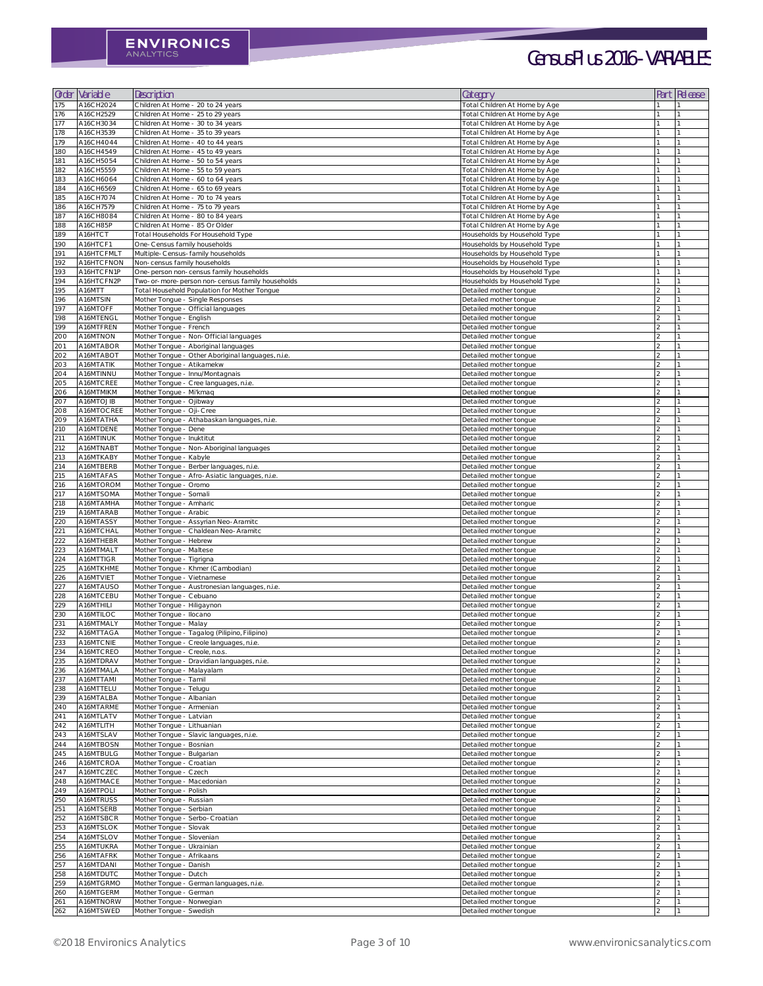| Order             | Variable                 | Description                                                                  | Category                                                       | Part | <b>Release</b> |
|-------------------|--------------------------|------------------------------------------------------------------------------|----------------------------------------------------------------|------|----------------|
| 175               | A16CH2O24                | Children At Home - 20 to 24 years                                            | Total Children At Home by Age                                  |      |                |
| 176               | A16CH2529                | Children At Home - 25 to 29 years                                            | Total Children At Home by Age                                  |      |                |
| 177               | A16CH3O34                | Children At Home - 30 to 34 years                                            | Total Children At Home by Age                                  |      |                |
| 178               | A16CH3539                | Children At Home - 35 to 39 years                                            | Total Children At Home by Age                                  |      |                |
| 179<br>180        | A16CH4O44<br>A16CH4549   | Children At Home - 40 to 44 years<br>Children At Home - 45 to 49 years       | Total Children At Home by Age<br>Total Children At Home by Age |      |                |
| 181               | A16CH5054                | Children At Home - 50 to 54 years                                            | Total Children At Home by Age                                  |      |                |
| 182               | A16CH5559                | Children At Home - 55 to 59 years                                            | Total Children At Home by Age                                  |      |                |
| 183               | A16CH6064                | Children At Home - 60 to 64 years                                            | Total Children At Home by Age                                  |      |                |
| 184               | A16CH6569                | Children At Home - 65 to 69 years                                            | Total Children At Home by Age                                  |      |                |
| 185<br>186        | A16CH7074<br>A16CH7579   | Children At Home - 70 to 74 years<br>Children At Home - 75 to 79 years       | Total Children At Home by Age<br>Total Children At Home by Age |      |                |
| 187               | A16CH8084                | Children At Home - 80 to 84 years                                            | Total Children At Home by Age                                  |      |                |
| 188               | A16CH85P                 | Children At Home - 85 Or Older                                               | Total Children At Home by Age                                  |      |                |
| 189               | A16HTCT                  | Total Households For Household Type                                          | Households by Household Type                                   |      |                |
| 190               | A16HTCF1                 | One-Census family households                                                 | Households by Household Type                                   |      |                |
| 191<br>192        | A16HTCFMLT<br>A16HTCFNON | Multiple-Census-family households<br>Non-census family households            | Households by Household Type<br>Households by Household Type   |      |                |
| 193               | A16HTCFN1P               | One-person non-census family households                                      | Households by Household Type                                   |      |                |
| 194               | A16HTCFN2P               | Two-or-more-person non-census family households                              | Households by Household Type                                   |      |                |
| 195               | A16MTT                   | Total Household Population for Mother Tongue                                 | Detailed mother tongue                                         |      |                |
| 196               | A16MTSIN                 | Mother Tongue - Single Responses                                             | Detailed mother tongue                                         |      |                |
| 197               | A16MTOFF                 | Mother Tongue - Official languages                                           | Detailed mother tongue                                         |      |                |
| 198<br>199        | A16MTENGL<br>A16MTFREN   | Mother Tongue - English<br>Mother Tongue - French                            | Detailed mother tongue<br>Detailed mother tongue               |      |                |
| 200               | A16MTNON                 | Mother Tongue - Non-Official languages                                       | Detailed mother tongue                                         |      |                |
| 201               | A16MTABOR                | Mother Tongue - Aboriginal languages                                         | Detailed mother tongue                                         |      |                |
| 202               | A16MTABOT                | Mother Tongue - Other Aboriginal languages, n.i.e.                           | Detailed mother tongue                                         |      |                |
| 203               | A16MTATIK                | Mother Tongue - Atikamekw                                                    | Detailed mother tongue                                         |      |                |
| 204               | A16MTINNU                | Mother Tongue - Innu/Montagnais                                              | Detailed mother tongue                                         |      |                |
| 205<br>206        | A16MTCREE<br>A16MTMIKM   | Mother Tongue - Cree languages, n.i.e.<br>Mother Tongue - Mi'kmaq            | Detailed mother tongue<br>Detailed mother tongue               |      |                |
| 207               | A16MTOJIB                | Mother Tongue - Ojibway                                                      | Detailed mother tongue                                         |      |                |
| 208               | A16MTOCREE               | Mother Tongue - Oji-Cree                                                     | Detailed mother tongue                                         |      |                |
| 209               | A16MTATHA                | Mother Tongue - Athabaskan languages, n.i.e.                                 | Detailed mother tongue                                         |      |                |
| 210               | A16MTDENE                | Mother Tongue - Dene                                                         | Detailed mother tongue                                         |      |                |
| 211               | A16MTINUK                | Mother Tongue - Inuktitut                                                    | Detailed mother tongue                                         |      |                |
| 212<br>213        | A16MTNABT<br>A16MTKABY   | Mother Tongue - Non-Aboriginal languages<br>Mother Tongue - Kabyle           | Detailed mother tongue<br>Detailed mother tongue               |      |                |
| 214               | A16MTBERB                | Mother Tongue - Berber languages, n.i.e.                                     | Detailed mother tongue                                         |      |                |
| 215               | A16MTAFAS                | Mother Tongue - Afro-Asiatic languages, n.i.e.                               | Detailed mother tongue                                         |      |                |
| 216               | A16MTOROM                | Mother Tongue - Oromo                                                        | Detailed mother tongue                                         |      |                |
| 217               | A16MTSOMA                | Mother Tongue - Somali                                                       | Detailed mother tongue                                         |      |                |
| 218               | A16MTAMHA                | Mother Tongue - Amharic                                                      | Detailed mother tongue                                         |      |                |
| 219<br>220        | A16MTARAB<br>A16MTASSY   | Mother Tongue - Arabic<br>Mother Tongue - Assyrian Neo-Aramitc               | Detailed mother tongue<br>Detailed mother tongue               |      |                |
| 221               | A16MTCHAL                | Mother Tongue - Chaldean Neo-Aramitc                                         | Detailed mother tongue                                         |      |                |
| 222               | A16MTHEBR                | Mother Tongue - Hebrew                                                       | Detailed mother tongue                                         |      |                |
| 223               | A16MTMALT                | Mother Tongue - Maltese                                                      | Detailed mother tongue                                         |      |                |
| 224               | A16MTTIGR                | Mother Tongue - Tigrigna                                                     | Detailed mother tongue                                         |      |                |
| 225               | A16MTKHME                | Mother Tongue - Khmer (Cambodian)                                            | Detailed mother tongue                                         |      |                |
| 226<br>227        | A16MTVIET<br>A16MTAUSO   | Mother Tongue - Vietnamese<br>Mother Tongue - Austronesian languages, n.i.e. | Detailed mother tongue<br>Detailed mother tongue               |      |                |
| 228               | A16MTCEBU                | Mother Tongue - Cebuano                                                      | Detailed mother tongue                                         |      |                |
| 229               | A16MTHILI                | Mother Tongue - Hiligaynon                                                   | Detailed mother tongue                                         |      |                |
| 230               | A16MTILOC                | Mother Tongue - Ilocano                                                      | Detailed mother tongue                                         |      |                |
| 231               | A16MTMALY                | Mother Tongue - Malay                                                        | Detailed mother tongue                                         |      |                |
| 232               | A16MTTAGA                | Mother Tongue - Tagalog (Pilipino, Filipino)                                 | Detailed mother tongue                                         |      |                |
| 233<br>234        | A16MTCNIE<br>A16MTCREO   | Mother Tongue - Creole languages, n.i.e.<br>Mother Tongue - Creole, n.o.s.   | Detailed mother tongue<br>Detailed mother tonque               |      |                |
| 235               | A16MTDRAV                | Mother Tongue - Dravidian languages, n.i.e.                                  | Detailed mother tongue                                         |      |                |
| 236               | A16MTMALA                | Mother Tongue - Malayalam                                                    | Detailed mother tongue                                         |      |                |
| 237               | A16MTTAMI                | Mother Tongue - Tamil                                                        | Detailed mother tongue                                         |      |                |
| 238               | A16MTTELU                | Mother Tongue - Telugu                                                       | Detailed mother tongue                                         |      |                |
| 239<br><b>240</b> | A16MTALBA<br>A16MTARME   | Mother Tongue - Albanian<br>Mother Tongue - Armenian                         | Detailed mother tongue<br>Detailed mother tongue               |      |                |
| 241               | A16MTLATV                | Mother Tongue - Latvian                                                      | Detailed mother tongue                                         |      |                |
| 242               | A16MTLITH                | Mother Tongue - Lithuanian                                                   | Detailed mother tongue                                         |      |                |
| 243               | A16MTSLAV                | Mother Tongue - Slavic languages, n.i.e.                                     | Detailed mother tongue                                         |      |                |
| 244               | A16MTBOSN                | Mother Tongue - Bosnian                                                      | Detailed mother tongue                                         |      |                |
| 245               | A16MTBULG                | Mother Tongue - Bulgarian                                                    | Detailed mother tongue                                         |      |                |
| 246<br>247        | A16MTCROA<br>A16MTCZEC   | Mother Tongue - Croatian<br>Mother Tongue - Czech                            | Detailed mother tongue<br>Detailed mother tongue               |      |                |
| 248               | A16MTMACE                | Mother Tongue - Macedonian                                                   | Detailed mother tongue                                         |      |                |
| 249               | A16MTPOLI                | Mother Tongue - Polish                                                       | Detailed mother tongue                                         |      |                |
| 250               | A16MTRUSS                | Mother Tongue - Russian                                                      | Detailed mother tongue                                         |      |                |
| 251               | A16MTSERB                | Mother Tongue - Serbian                                                      | Detailed mother tongue                                         |      |                |
| 252               | A16MTSBCR                | Mother Tongue - Serbo-Croatian                                               | Detailed mother tongue                                         |      |                |
| 253<br>254        | A16MTSLOK<br>A16MTSLOV   | Mother Tongue - Slovak<br>Mother Tongue - Slovenian                          | Detailed mother tongue<br>Detailed mother tongue               |      |                |
| 255               | A16MTUKRA                | Mother Tongue - Ukrainian                                                    | Detailed mother tongue                                         |      |                |
| 256               | A16MTAFRK                | Mother Tongue - Afrikaans                                                    | Detailed mother tongue                                         |      |                |
| 257               | A16MTDANI                | Mother Tongue - Danish                                                       | Detailed mother tongue                                         |      |                |
| 258               | A16MTDUTC                | Mother Tongue - Dutch                                                        | Detailed mother tongue                                         |      |                |
| 259               | A16MTGRMO                | Mother Tongue - German languages, n.i.e.                                     | Detailed mother tongue                                         |      |                |
| 260               | A16MTGERM                | Mother Tongue - German                                                       | Detailed mother tongue                                         |      |                |
| 261<br>262        | A16MTNORW<br>A16MTSWED   | Mother Tongue - Norwegian<br>Mother Tongue - Swedish                         | Detailed mother tongue<br>Detailed mother tongue               |      |                |
|                   |                          |                                                                              |                                                                |      |                |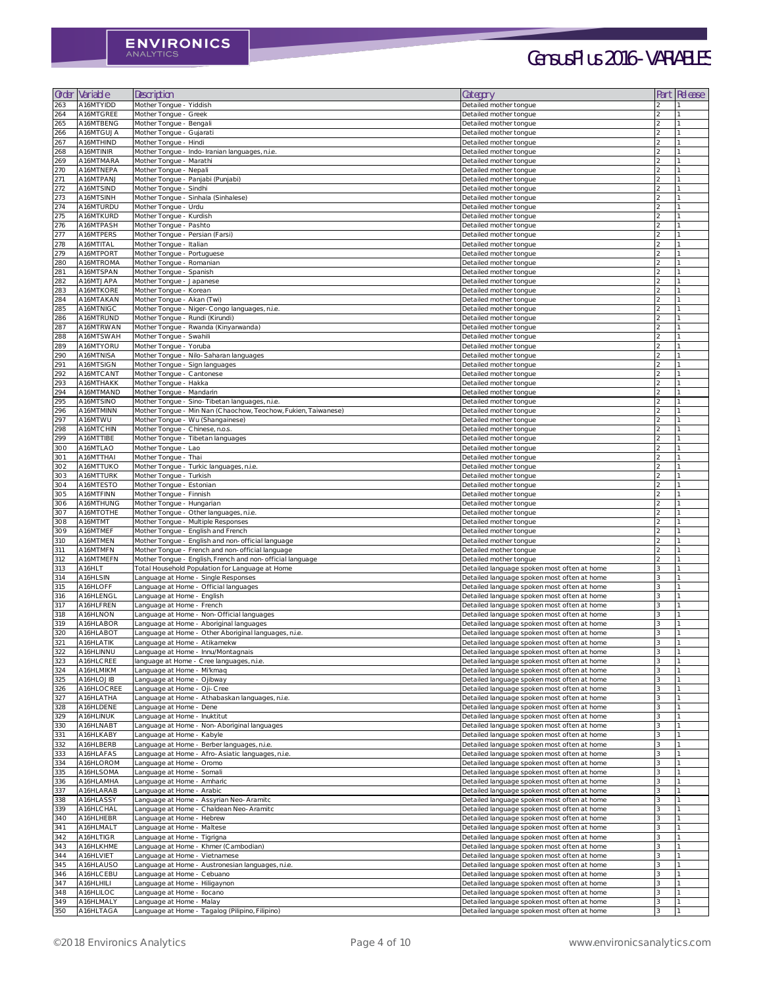| Order      | Variable               | Description                                                                                                  | Category                                                                                   | Part                            | Release |
|------------|------------------------|--------------------------------------------------------------------------------------------------------------|--------------------------------------------------------------------------------------------|---------------------------------|---------|
| 263        | A16MTYIDD              | Mother Tongue - Yiddish                                                                                      | Detailed mother tongue                                                                     |                                 |         |
| 264        | A16MTGREE              | Mother Tongue - Greek                                                                                        | Detailed mother tongue                                                                     |                                 |         |
| 265<br>266 | A16MTBENG<br>A16MTGUJA | Mother Tongue - Bengali<br>Mother Tongue - Gujarati                                                          | Detailed mother tongue<br>Detailed mother tongue                                           | $\mathfrak{D}$                  |         |
| 267        | A16MTHIND              | Mother Tongue - Hindi                                                                                        | Detailed mother tongue                                                                     | $\mathcal{D}$                   |         |
| 268        | A16MTINIR              | Mother Tongue - Indo-Iranian languages, n.i.e.                                                               | Detailed mother tongue                                                                     |                                 |         |
| 269        | A16MTMARA              | Mother Tongue - Marathi                                                                                      | Detailed mother tongue                                                                     |                                 |         |
| 270<br>271 | A16MTNEPA<br>A16MTPANJ | Mother Tongue - Nepali<br>Mother Tongue - Panjabi (Punjabi)                                                  | Detailed mother tongue<br>Detailed mother tongue                                           |                                 |         |
| 272        | A16MTSIND              | Mother Tongue - Sindhi                                                                                       | Detailed mother tongue                                                                     |                                 |         |
| 273        | A16MTSINH              | Mother Tongue - Sinhala (Sinhalese)                                                                          | Detailed mother tongue                                                                     | $\mathcal{D}$                   |         |
| 274        | A16MTURDU              | Mother Tongue - Urdu                                                                                         | Detailed mother tongue                                                                     | $\mathcal{D}$                   |         |
| 275<br>276 | A16MTKURD<br>A16MTPASH | Mother Tongue - Kurdish<br>Mother Tongue - Pashto                                                            | Detailed mother tongue<br>Detailed mother tongue                                           | $\mathfrak{D}$<br>$\mathcal{P}$ |         |
| 277        | A16MTPERS              | Mother Tongue - Persian (Farsi)                                                                              | Detailed mother tongue                                                                     |                                 |         |
| 278        | A16MTITAL              | Mother Tongue - Italian                                                                                      | Detailed mother tongue                                                                     |                                 |         |
| 279        | A16MTPORT              | Mother Tongue - Portuguese                                                                                   | Detailed mother tongue                                                                     |                                 |         |
| 280<br>281 | A16MTROMA<br>A16MTSPAN | Mother Tongue - Romanian<br>Mother Tongue - Spanish                                                          | Detailed mother tongue<br>Detailed mother tongue                                           | っ<br>$\mathcal{D}$              |         |
| 282        | A16MTJAPA              | Mother Tongue - Japanese                                                                                     | Detailed mother tongue                                                                     | $\mathcal{D}$                   |         |
| 283        | A16MTKORE              | Mother Tongue - Korean                                                                                       | Detailed mother tongue                                                                     | $\mathcal{D}$                   |         |
| 284        | A16MTAKAN              | Mother Tongue - Akan (Twi)                                                                                   | Detailed mother tongue                                                                     |                                 |         |
| 285<br>286 | A16MTNIGC<br>A16MTRUND | Mother Tongue - Niger-Congo languages, n.i.e.<br>Mother Tongue - Rundi (Kirundi)                             | Detailed mother tongue                                                                     |                                 |         |
| 287        | A16MTRWAN              | Mother Tongue - Rwanda (Kinyarwanda)                                                                         | Detailed mother tongue<br>Detailed mother tongue                                           | 2                               |         |
| 288        | A16MTSWAH              | Mother Tongue - Swahili                                                                                      | Detailed mother tongue                                                                     |                                 |         |
| 289        | A16MTYORU              | Mother Tongue - Yoruba                                                                                       | Detailed mother tongue                                                                     | $\mathcal{D}$                   |         |
| 290        | A16MTNISA              | Mother Tongue - Nilo-Saharan languages                                                                       | Detailed mother tongue                                                                     | $\mathcal{D}$                   |         |
| 291<br>292 | A16MTSIGN<br>A16MTCANT | Mother Tongue - Sign languages<br>Mother Tongue - Cantonese                                                  | Detailed mother tongue<br>Detailed mother tongue                                           | 2                               |         |
| 293        | A16MTHAKK              | Mother Tongue - Hakka                                                                                        | Detailed mother tongue                                                                     |                                 |         |
| 294        | A16MTMAND              | Mother Tongue - Mandarin                                                                                     | Detailed mother tongue                                                                     |                                 |         |
| 295        | A16MTSINO              | Mother Tongue - Sino-Tibetan languages, n.i.e.                                                               | Detailed mother tongue                                                                     |                                 |         |
| 296<br>297 | A16MTMINN<br>A16MTWU   | Mother Tongue - Min Nan (Chaochow, Teochow, Fukien, Taiwanese)<br>Mother Tongue - Wu (Shangainese)           | Detailed mother tongue<br>Detailed mother tongue                                           | $\mathcal{D}$<br>$\mathfrak{D}$ |         |
| 298        | A16MTCHIN              | Mother Tongue - Chinese, n.o.s.                                                                              | Detailed mother tongue                                                                     |                                 |         |
| 299        | A16MTTIBE              | Mother Tongue - Tibetan languages                                                                            | Detailed mother tongue                                                                     |                                 |         |
| 300        | A16MTLAO               | Mother Tongue - Lao                                                                                          | Detailed mother tongue                                                                     |                                 |         |
| 301        | A16MTTHAI              | Mother Tongue - Thai                                                                                         | Detailed mother tongue                                                                     |                                 |         |
| 302<br>303 | A16MTTUKO<br>A16MTTURK | Mother Tongue - Turkic languages, n.i.e.<br>Mother Tongue - Turkish                                          | Detailed mother tongue<br>Detailed mother tongue                                           |                                 |         |
| 304        | A16MTESTO              | Mother Tongue - Estonian                                                                                     | Detailed mother tongue                                                                     | $\mathcal{D}$                   |         |
| 305        | A16MTFINN              | Mother Tongue - Finnish                                                                                      | Detailed mother tongue                                                                     |                                 |         |
| 306        | A16MTHUNG              | Mother Tongue - Hungarian                                                                                    | Detailed mother tongue                                                                     |                                 |         |
| 307<br>308 | A16MTOTHE<br>A16MTMT   | Mother Tongue - Other languages, n.i.e.<br>Mother Tongue - Multiple Responses                                | Detailed mother tongue<br>Detailed mother tongue                                           |                                 |         |
| 309        | A16MTMEF               | Mother Tongue - English and French                                                                           | Detailed mother tongue                                                                     |                                 |         |
| <b>310</b> | A16MTMEN               | Mother Tongue - English and non-official language                                                            | Detailed mother tongue                                                                     |                                 |         |
| 311        | A16MTMFN               | Mother Tongue - French and non-official language                                                             | Detailed mother tongue                                                                     | $\mathcal{D}$                   |         |
| 312<br>313 | A16MTMEFN<br>A16HLT    | Mother Tongue - English, French and non-official language<br>Total Household Population for Language at Home | Detailed mother tongue<br>Detailed language spoken most often at home                      | 3                               |         |
| 314        | A16HLSIN               | Language at Home - Single Responses                                                                          | Detailed language spoken most often at home                                                |                                 |         |
| 315        | A16HLOFF               | Language at Home - Official languages                                                                        | Detailed language spoken most often at home                                                |                                 |         |
| 316        | A16HLENGL              | Language at Home - English                                                                                   | Detailed language spoken most often at home                                                |                                 |         |
| 317<br>318 | A16HLFREN<br>A16HLNON  | Language at Home - French<br>Language at Home - Non-Official languages                                       | Detailed language spoken most often at home<br>Detailed language spoken most often at home | 3<br>3                          |         |
| 319        | A16HLABOR              | Language at Home - Aboriginal languages                                                                      | Detailed language spoken most often at home                                                | 3                               |         |
| 320        | A16HLABOT              | Language at Home - Other Aboriginal languages, n.i.e.                                                        | Detailed language spoken most often at home                                                | 3                               |         |
| 321        | A16HLATIK              | Language at Home - Atikamekw                                                                                 | Detailed language spoken most often at home                                                |                                 |         |
| 322        | A16HLINNU              | Language at Home - Innu/Montagnais                                                                           | Detailed language spoken most often at home                                                |                                 |         |
| 323<br>324 | A16HLCREE<br>A16HLMIKM | language at Home - Cree languages, n.i.e.<br>Language at Home - Mi'kmaq                                      | Detailed language spoken most often at home<br>Detailed language spoken most often at home | 3                               |         |
| 325        | A16HLOJIB              | Language at Home - Ojibway                                                                                   | Detailed language spoken most often at home                                                | 3                               |         |
| 326        | A16HLOCREE             | Language at Home - Oji-Cree                                                                                  | Detailed language spoken most often at home                                                | 3                               |         |
| 327        | A16HLATHA              | Language at Home - Athabaskan languages, n.i.e.                                                              | Detailed language spoken most often at home                                                | 3                               |         |
| 328<br>329 | A16HLDENE<br>A16HLINUK | Language at Home - Dene<br>Language at Home - Inuktitut                                                      | Detailed language spoken most often at home<br>Detailed language spoken most often at home |                                 |         |
| 330        | A16HLNABT              | Language at Home - Non-Aboriginal languages                                                                  | Detailed language spoken most often at home                                                |                                 |         |
| 331        | A16HLKABY              | Language at Home - Kabyle                                                                                    | Detailed language spoken most often at home                                                | 3                               |         |
| 332        | A16HLBERB              | Language at Home - Berber languages, n.i.e.                                                                  | Detailed language spoken most often at home                                                | 3                               |         |
| 333        | A16HLAFAS              | Language at Home - Afro-Asiatic languages, n.i.e.                                                            | Detailed language spoken most often at home                                                | 3                               |         |
| 334<br>335 | A16HLOROM<br>A16HLSOMA | Language at Home - Oromo<br>Language at Home - Somali                                                        | Detailed language spoken most often at home<br>Detailed language spoken most often at home | 3                               |         |
| 336        | A16HLAMHA              | Language at Home - Amharic                                                                                   | Detailed language spoken most often at home                                                |                                 |         |
| 337        | A16HLARAB              | Language at Home - Arabic                                                                                    | Detailed language spoken most often at home                                                |                                 |         |
| 338        | A16HLASSY              | Language at Home - Assyrian Neo-Aramitc                                                                      | Detailed language spoken most often at home                                                |                                 |         |
| 339<br>340 | A16HLCHAL<br>A16HLHEBR | Language at Home - Chaldean Neo-Aramitc<br>Language at Home - Hebrew                                         | Detailed language spoken most often at home<br>Detailed language spoken most often at home | 3<br>3                          |         |
| 341        | A16HLMALT              | Language at Home - Maltese                                                                                   | Detailed language spoken most often at home                                                | 3                               |         |
| 342        | A16HLTIGR              | Language at Home - Tigrigna                                                                                  | Detailed language spoken most often at home                                                |                                 |         |
| 343        | A16HLKHME              | Language at Home - Khmer (Cambodian)                                                                         | Detailed language spoken most often at home                                                |                                 |         |
| 344        | A16HLVIET              | Language at Home - Vietnamese                                                                                | Detailed language spoken most often at home                                                | 3<br>3                          |         |
| 345<br>346 | A16HLAUSO<br>A16HLCEBU | Language at Home - Austronesian languages, n.i.e.<br>Language at Home - Cebuano                              | Detailed language spoken most often at home<br>Detailed language spoken most often at home |                                 |         |
| 347        | A16HLHILI              | Language at Home - Hiligaynon                                                                                | Detailed language spoken most often at home                                                | 3                               |         |
| 348        | A16HLILOC              | Language at Home - Ilocano                                                                                   | Detailed language spoken most often at home                                                | 3                               |         |
| 349        | A16HLMALY              | Language at Home - Malay                                                                                     | Detailed language spoken most often at home                                                |                                 |         |
| 350        | A16HLTAGA              | Language at Home - Tagalog (Pilipino, Filipino)                                                              | Detailed language spoken most often at home                                                | ζ                               |         |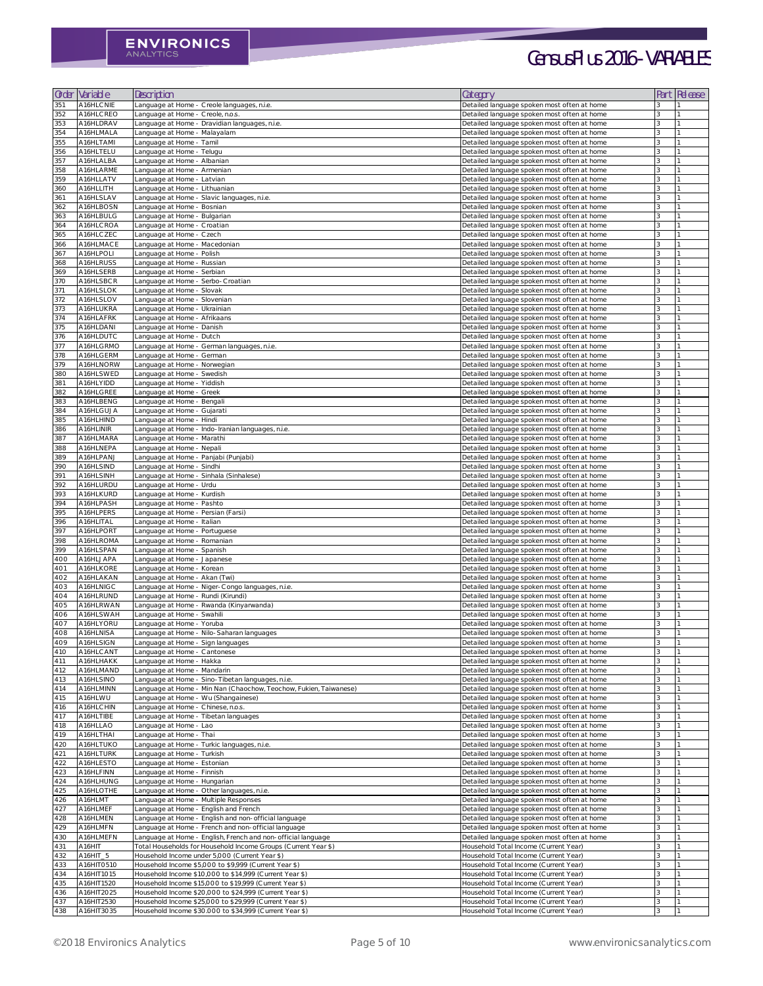| Order      | Variable               | Description                                                       | Category                                                                                   | Part          | <b>Release</b> |
|------------|------------------------|-------------------------------------------------------------------|--------------------------------------------------------------------------------------------|---------------|----------------|
| 351        | A16HLCNIE              | Language at Home - Creole languages, n.i.e.                       | Detailed language spoken most often at home                                                |               |                |
| 352        | A16HLCREO              | Language at Home - Creole, n.o.s.                                 | Detailed language spoken most often at home                                                |               |                |
| 353        | A16HLDRAV              | Language at Home - Dravidian languages, n.i.e.                    | Detailed language spoken most often at home                                                | 3             |                |
| 354        | A16HLMALA              | Language at Home - Malayalam                                      | Detailed language spoken most often at home                                                | ζ             |                |
| 355        | A16HLTAMI              | Language at Home - Tamil                                          | Detailed language spoken most often at home                                                |               |                |
| 356        | A16HLTELU              | Language at Home - Telugu                                         | Detailed language spoken most often at home                                                |               |                |
| 357        | A16HLALBA              | Language at Home - Albanian                                       | Detailed language spoken most often at home                                                |               |                |
| 358        | A16HLARME              | Language at Home - Armenian                                       | Detailed language spoken most often at home                                                |               |                |
| 359        | A16HLLATV              | Language at Home - Latvian                                        | Detailed language spoken most often at home                                                |               |                |
| 360        | A16HLLITH              | Language at Home - Lithuanian                                     | Detailed language spoken most often at home                                                | 3             |                |
| 361        | A16HLSLAV              | Language at Home - Slavic languages, n.i.e.                       | Detailed language spoken most often at home                                                |               |                |
| 362        | A16HLBOSN              | Language at Home - Bosnian                                        | Detailed language spoken most often at home                                                |               |                |
| 363        | A16HLBULG              | Language at Home - Bulgarian                                      | Detailed language spoken most often at home                                                | 3             |                |
| 364        | A16HLCROA              | Language at Home - Croatian                                       | Detailed language spoken most often at home                                                |               |                |
| 365        | A16HLCZEC              | Language at Home - Czech                                          | Detailed language spoken most often at home                                                |               |                |
| 366        | A16HLMACE              | Language at Home - Macedonian                                     | Detailed language spoken most often at home                                                |               |                |
| 367        | A16HLPOLI              | Language at Home - Polish                                         | Detailed language spoken most often at home                                                |               |                |
| 368        | A16HLRUSS              | Language at Home - Russian                                        | Detailed language spoken most often at home                                                | $\mathcal{L}$ |                |
| 369        | A16HLSERB              | Language at Home - Serbian                                        | Detailed language spoken most often at home                                                |               |                |
| 370        | A16HLSBCR              | Language at Home - Serbo-Croatian                                 | Detailed language spoken most often at home                                                |               |                |
| 371        | A16HLSLOK              | Language at Home - Slovak                                         | Detailed language spoken most often at home                                                |               |                |
| 372        | A16HLSLOV              | Language at Home - Slovenian                                      | Detailed language spoken most often at home                                                |               |                |
| 373        | A16HLUKRA              | Language at Home - Ukrainian                                      | Detailed language spoken most often at home                                                |               |                |
| 374        | A16HLAFRK              | Language at Home - Afrikaans                                      | Detailed language spoken most often at home                                                |               |                |
| 375        | A16HLDANI              | Language at Home - Danish                                         | Detailed language spoken most often at home                                                | $\mathcal{L}$ |                |
| 376        | A16HLDUTC              | Language at Home - Dutch                                          | Detailed language spoken most often at home                                                | 3             |                |
| 377        | A16HLGRMO              | Language at Home - German languages, n.i.e.                       | Detailed language spoken most often at home                                                |               |                |
| 378        | A16HLGERM              | Language at Home - German                                         | Detailed language spoken most often at home                                                |               |                |
| 379        | A16HLNORW              | Language at Home - Norwegian                                      | Detailed language spoken most often at home                                                |               |                |
| 380        | A16HLSWED              | Language at Home - Swedish                                        | Detailed language spoken most often at home                                                |               |                |
| 381        | A16HLYIDD              | Language at Home - Yiddish                                        | Detailed language spoken most often at home                                                |               |                |
| 382        | A16HLGREE              | Language at Home - Greek                                          | Detailed language spoken most often at home                                                |               |                |
| 383        | A16HLBENG              | Language at Home - Bengali                                        | Detailed language spoken most often at home                                                |               |                |
| 384        | A16HLGUJA              | Language at Home - Gujarati                                       | Detailed language spoken most often at home                                                |               |                |
| 385        | A16HLHIND              | Language at Home - Hindi                                          | Detailed language spoken most often at home                                                |               |                |
| 386        | A16HLINIR              | Language at Home - Indo-Iranian languages, n.i.e.                 | Detailed language spoken most often at home                                                |               |                |
| 387        | A16HLMARA              | Language at Home - Marathi                                        | Detailed language spoken most often at home                                                |               |                |
| 388        | A16HLNEPA              | Language at Home - Nepali                                         | Detailed language spoken most often at home                                                |               |                |
| 389        | A16HLPANJ              | Language at Home - Panjabi (Punjabi)                              | Detailed language spoken most often at home                                                |               |                |
| 390        | A16HLSIND              | Language at Home - Sindhi                                         | Detailed language spoken most often at home                                                |               |                |
| 391        | A16HLSINH              | Language at Home - Sinhala (Sinhalese)                            | Detailed language spoken most often at home                                                |               |                |
| 392        | A16HLURDU              | Language at Home - Urdu                                           | Detailed language spoken most often at home                                                |               |                |
| 393        | A16HLKURD              | Language at Home - Kurdish                                        | Detailed language spoken most often at home                                                |               |                |
| 394        | A16HLPASH              | Language at Home - Pashto                                         | Detailed language spoken most often at home                                                |               |                |
| 395        | A16HLPERS              | Language at Home - Persian (Farsi)                                | Detailed language spoken most often at home                                                |               |                |
| 396        | A16HLITAL              | Language at Home - Italian                                        | Detailed language spoken most often at home                                                |               |                |
| 397        | A16HLPORT              | Language at Home - Portuguese                                     | Detailed language spoken most often at home                                                | 3<br>२        |                |
| 398        | A16HLROMA              | Language at Home - Romanian                                       | Detailed language spoken most often at home                                                |               |                |
| 399        | A16HLSPAN              | Language at Home - Spanish                                        | Detailed language spoken most often at home                                                |               |                |
| 400<br>401 | A16HLJAPA<br>A16HLKORE | Language at Home - Japanese<br>Language at Home - Korean          | Detailed language spoken most often at home<br>Detailed language spoken most often at home |               |                |
|            | A16HLAKAN              | Language at Home - Akan (Twi)                                     | Detailed language spoken most often at home                                                |               |                |
| 402<br>403 | A16HLNIGC              | Language at Home - Niger-Congo languages, n.i.e.                  | Detailed language spoken most often at home                                                |               |                |
| 404        | A16HLRUND              | Language at Home - Rundi (Kirundi)                                | Detailed language spoken most often at home                                                |               |                |
| 405        | A16HLRWAN              | Language at Home - Rwanda (Kinyarwanda)                           | Detailed language spoken most often at home                                                |               |                |
| 406        | A16HLSWAH              | Language at Home - Swahili                                        | Detailed language spoken most often at home                                                |               |                |
| 407        | A16HLYORU              | Language at Home - Yoruba                                         | Detailed language spoken most often at home                                                |               |                |
| 408        | A16HLNISA              | Language at Home - Nilo-Saharan languages                         | Detailed language spoken most often at home                                                |               |                |
| 409        | A16HLSIGN              | Language at Home - Sign languages                                 | Detailed language spoken most often at home                                                |               |                |
| 410        | A16HLCANT              | Language at Home - Cantonese                                      | Detailed language spoken most often at home                                                |               |                |
| 411        | A16HLHAKK              | Language at Home - Hakka                                          | Detailed language spoken most often at home                                                |               |                |
| 412        | A16HLMAND              | Language at Home - Mandarin                                       | Detailed language spoken most often at home                                                |               |                |
| 413        | A16HLSINO              | Language at Home - Sino-Tibetan languages, n.i.e.                 | Detailed language spoken most often at home                                                |               |                |
| 414        | A16HLMINN              | Language at Home - Min Nan (Chaochow, Teochow, Fukien, Taiwanese) | Detailed language spoken most often at home                                                |               |                |
| 415        | A16HLWU                | Language at Home - Wu (Shangainese)                               | Detailed language spoken most often at home                                                |               |                |
| 416        | A16HLCHIN              | Language at Home - Chinese, n.o.s.                                | Detailed language spoken most often at home                                                |               |                |
| 417        | A16HLTIBE              | Language at Home - Tibetan languages                              | Detailed language spoken most often at home                                                |               |                |
| 418        | A16HLLAO               | Language at Home - Lao                                            | Detailed language spoken most often at home                                                |               |                |
| 419        | A16HLTHAI              | Language at Home - Thai                                           | Detailed language spoken most often at home                                                | 3             |                |
| 420        | A16HLTUKO              | Language at Home - Turkic languages, n.i.e.                       | Detailed language spoken most often at home                                                |               |                |
| 421        | A16HLTURK              | Language at Home - Turkish                                        | Detailed language spoken most often at home                                                |               |                |
| 422        | A16HLESTO              | Language at Home - Estonian                                       | Detailed language spoken most often at home                                                |               |                |
| 423        | A16HLFINN              | Language at Home - Finnish                                        | Detailed language spoken most often at home                                                |               |                |
| 424        | A16HLHUNG              | Language at Home - Hungarian                                      | Detailed language spoken most often at home                                                |               |                |
| 425        | A16HLOTHE              | Language at Home - Other languages, n.i.e.                        | Detailed language spoken most often at home                                                |               |                |
| 426        | A16HLMT                | Language at Home - Multiple Responses                             | Detailed language spoken most often at home                                                |               |                |
| 427        | A16HLMEF               | Language at Home - English and French                             | Detailed language spoken most often at home                                                | 3             |                |
| 428        | A16HLMEN               | Language at Home - English and non-official language              | Detailed language spoken most often at home                                                |               |                |
|            | A16HLMFN               | Language at Home - French and non-official language               | Detailed language spoken most often at home                                                |               |                |
| 429        |                        | Language at Home - English, French and non-official language      | Detailed language spoken most often at home                                                |               |                |
| 430        | A16HLMEFN              | Total Households for Household Income Groups (Current Year \$)    | Household Total Income (Current Year)                                                      |               |                |
| 431        | A16HIT                 |                                                                   |                                                                                            |               |                |
| 432        | A16HIT_5               | Household Income under 5,000 (Current Year \$)                    | Household Total Income (Current Year)                                                      |               |                |
| 433        | A16HIT0510             | Household Income \$5,000 to \$9,999 (Current Year \$)             | Household Total Income (Current Year)                                                      |               |                |
| 434        | A16HIT1015             | Household Income \$10,000 to \$14,999 (Current Year \$)           | Household Total Income (Current Year)                                                      |               |                |
| 435        | A16HIT1520             | Household Income \$15,000 to \$19,999 (Current Year \$)           | Household Total Income (Current Year)                                                      |               |                |
| 436        | A16HIT2025             | Household Income \$20,000 to \$24,999 (Current Year \$)           | Household Total Income (Current Year)                                                      |               |                |
| 437        | A16HIT2530             | Household Income \$25,000 to \$29,999 (Current Year \$)           | Household Total Income (Current Year)                                                      |               |                |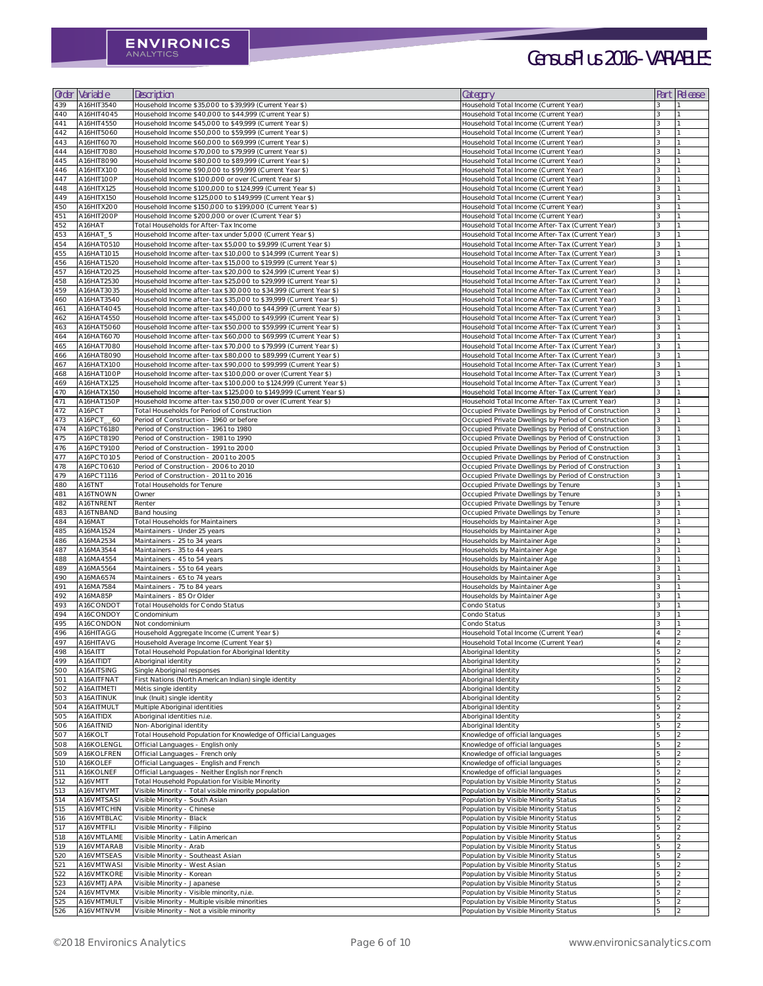| Order           | Variable                 | Description                                                                                                                            | Category                                                                                                     | Part | : Release |
|-----------------|--------------------------|----------------------------------------------------------------------------------------------------------------------------------------|--------------------------------------------------------------------------------------------------------------|------|-----------|
| 439             | A16HIT3540               | Household Income \$35,000 to \$39,999 (Current Year \$)                                                                                | Household Total Income (Current Year)                                                                        |      |           |
| 44O             | A16HIT4O45               | Household Income \$40,000 to \$44,999 (Current Year \$)                                                                                | Household Total Income (Current Year)                                                                        |      |           |
| 441             | A16HIT4550               | Household Income \$45,000 to \$49,999 (Current Year \$)                                                                                | Household Total Income (Current Year)                                                                        | २    |           |
| 442             | A16HIT5060               | Household Income \$50,000 to \$59,999 (Current Year \$)                                                                                | Household Total Income (Current Year)                                                                        |      |           |
| 443<br>444      | A16HIT6070               | Household Income \$60,000 to \$69,999 (Current Year \$)<br>Household Income \$70,000 to \$79,999 (Current Year \$)                     | Household Total Income (Current Year)<br>Household Total Income (Current Year)                               |      |           |
| 445             | A16HIT7080<br>A16HIT8090 | Household Income \$80,000 to \$89,999 (Current Year \$)                                                                                | Household Total Income (Current Year)                                                                        |      |           |
| 446             | A16HITX100               | Household Income \$90,000 to \$99,999 (Current Year \$)                                                                                | Household Total Income (Current Year)                                                                        |      |           |
| 447             | A16HIT100P               | Household Income \$100,000 or over (Current Year \$)                                                                                   | Household Total Income (Current Year)                                                                        |      |           |
| 448             | A16HITX125               | Household Income \$100,000 to \$124,999 (Current Year \$)                                                                              | Household Total Income (Current Year)                                                                        |      |           |
| 449             | A16HITX15O               | Household Income \$125,000 to \$149,999 (Current Year \$)                                                                              | Household Total Income (Current Year)                                                                        |      |           |
| 45 <sub>O</sub> | A16HITX200               | Household Income \$150,000 to \$199,000 (Current Year \$)                                                                              | Household Total Income (Current Year)                                                                        |      |           |
| 451             | A16HIT200P               | Household Income \$200,000 or over (Current Year \$)                                                                                   | Household Total Income (Current Year)                                                                        |      |           |
| 452<br>453      | A16HAT<br>A16HAT_5       | Total Households for After-Tax Income<br>Household Income after-tax under 5,000 (Current Year \$)                                      | Household Total Income After-Tax (Current Year)<br>Household Total Income After-Tax (Current Year)           |      |           |
| 454             | A16HAT0510               | Household Income after-tax \$5,000 to \$9,999 (Current Year \$)                                                                        | Household Total Income After-Tax (Current Year)                                                              |      |           |
| 455             | A16HAT1015               | Household Income after-tax \$10,000 to \$14,999 (Current Year \$)                                                                      | Household Total Income After-Tax (Current Year)                                                              |      |           |
| 456             | A16HAT1520               | Household Income after-tax \$15,000 to \$19,999 (Current Year \$)                                                                      | Household Total Income After-Tax (Current Year)                                                              |      |           |
| 457             | A16HAT2025               | Household Income after-tax \$20,000 to \$24,999 (Current Year \$)                                                                      | Household Total Income After-Tax (Current Year)                                                              |      |           |
| 458             | A16HAT2530               | Household Income after-tax \$25,000 to \$29,999 (Current Year \$)                                                                      | Household Total Income After-Tax (Current Year)                                                              |      |           |
| 459             | A16HAT3035               | Household Income after-tax \$30.000 to \$34,999 (Current Year \$)                                                                      | Household Total Income After-Tax (Current Year)                                                              |      |           |
| 460             | A16HAT354O               | Household Income after-tax \$35,000 to \$39,999 (Current Year \$)                                                                      | Household Total Income After-Tax (Current Year)                                                              |      |           |
| 461             | A16HAT4O45               | Household Income after-tax \$40,000 to \$44,999 (Current Year \$)<br>Household Income after-tax \$45,000 to \$49,999 (Current Year \$) | Household Total Income After-Tax (Current Year)<br>Household Total Income After-Tax (Current Year)           |      |           |
| 462<br>463      | A16HAT4550<br>A16HAT5060 | Household Income after-tax \$50,000 to \$59,999 (Current Year \$)                                                                      | Household Total Income After-Tax (Current Year)                                                              | २    |           |
| 464             | A16HAT6070               | Household Income after-tax \$60,000 to \$69,999 (Current Year \$)                                                                      | Household Total Income After-Tax (Current Year)                                                              |      |           |
| 465             | A16HAT7080               | Household Income after-tax \$70,000 to \$79,999 (Current Year \$)                                                                      | Household Total Income After-Tax (Current Year)                                                              |      |           |
| 466             | A16HAT8090               | Household Income after-tax \$80,000 to \$89,999 (Current Year \$)                                                                      | Household Total Income After-Tax (Current Year)                                                              |      |           |
| 467             | A16HATX100               | Household Income after-tax \$90,000 to \$99,999 (Current Year \$)                                                                      | Household Total Income After-Tax (Current Year)                                                              |      |           |
| 468             | A16HAT100P               | Household Income after-tax \$100,000 or over (Current Year \$)                                                                         | Household Total Income After-Tax (Current Year)                                                              |      |           |
| 469             | A16HATX125               | Household Income after-tax \$100,000 to \$124,999 (Current Year \$)                                                                    | Household Total Income After-Tax (Current Year)                                                              |      |           |
| 47 <sub>O</sub> | A16HATX15O               | Household Income after-tax \$125,000 to \$149,999 (Current Year \$)                                                                    | Household Total Income After-Tax (Current Year)                                                              |      |           |
| 471             | A16HAT15OP               | Household Income after-tax \$150,000 or over (Current Year \$)<br>Total Households for Period of Construction                          | Household Total Income After-Tax (Current Year)                                                              |      |           |
| 472<br>473      | A16PCT<br>A16PCT_60      | Period of Construction - 1960 or before                                                                                                | Occupied Private Dwellings by Period of Construction<br>Occupied Private Dwellings by Period of Construction |      |           |
| 474             | A16PCT6180               | Period of Construction - 1961 to 1980                                                                                                  | Occupied Private Dwellings by Period of Construction                                                         |      |           |
| 475             | A16PCT8190               | Period of Construction - 1981 to 1990                                                                                                  | Occupied Private Dwellings by Period of Construction                                                         |      |           |
| 476             | A16PCT9100               | Period of Construction - 1991 to 2000                                                                                                  | Occupied Private Dwellings by Period of Construction                                                         |      |           |
| 477             | A16PCT0105               | Period of Construction - 2001 to 2005                                                                                                  | Occupied Private Dwellings by Period of Construction                                                         |      |           |
| 478             | A16PCT0610               | Period of Construction - 2006 to 2010                                                                                                  | Occupied Private Dwellings by Period of Construction                                                         | ર    |           |
| 479             | A16PCT1116               | Period of Construction - 2011 to 2016                                                                                                  | Occupied Private Dwellings by Period of Construction                                                         |      |           |
| 480             | A16TNT                   | <b>Total Households for Tenure</b>                                                                                                     | Occupied Private Dwellings by Tenure                                                                         |      |           |
| 481             | A16TNOWN                 | Owner                                                                                                                                  | Occupied Private Dwellings by Tenure                                                                         |      |           |
| 482             | A16TNRENT                | Renter                                                                                                                                 | Occupied Private Dwellings by Tenure                                                                         |      |           |
| 483<br>484      | A16TNBAND<br>A16MAT      | <b>Band housing</b><br><b>Total Households for Maintainers</b>                                                                         | Occupied Private Dwellings by Tenure<br>Households by Maintainer Age                                         |      |           |
| 485             | A16MA1524                | Maintainers - Under 25 years                                                                                                           | Households by Maintainer Age                                                                                 |      |           |
| 486             | A16MA2534                | Maintainers - 25 to 34 years                                                                                                           | Households by Maintainer Age                                                                                 |      |           |
| 487             | A16MA3544                | Maintainers - 35 to 44 years                                                                                                           | Households by Maintainer Age                                                                                 |      |           |
| 488             | A16MA4554                | Maintainers - 45 to 54 years                                                                                                           | Households by Maintainer Age                                                                                 |      |           |
| 489             | A16MA5564                | Maintainers - 55 to 64 years                                                                                                           | Households by Maintainer Age                                                                                 |      |           |
| 490             | A16MA6574                | Maintainers - 65 to 74 years                                                                                                           | Households by Maintainer Age                                                                                 |      |           |
| 491             | A16MA7584                | Maintainers - 75 to 84 years                                                                                                           | Households by Maintainer Age                                                                                 |      |           |
| 492             | A16MA85P                 | Maintainers - 85 Or Older                                                                                                              | Households by Maintainer Age                                                                                 |      |           |
| 493<br>494      | A16CONDOT<br>A16CONDOY   | <b>Total Households for Condo Status</b><br>Condominium                                                                                | Condo Status<br>Condo Status                                                                                 |      |           |
| 495             | A16CONDON                | Not condominium                                                                                                                        | Condo Status                                                                                                 |      |           |
| 496             | A16HITAGG                | Household Aggregate Income (Current Year \$)                                                                                           | Household Total Income (Current Year)                                                                        |      |           |
| 497             | A16HITAVG                | Household Average Income (Current Year \$)                                                                                             | Household Total Income (Current Year)                                                                        |      |           |
| 498             | A16AITT                  | Total Household Population for Aboriginal Identity                                                                                     | Aboriginal Identity                                                                                          |      |           |
| 499             | A16AITIDT                | Aboriginal identity                                                                                                                    | Aboriginal Identity                                                                                          | 5    |           |
| 500             | A16AITSING               | Single Aboriginal responses                                                                                                            | Aboriginal Identity                                                                                          |      |           |
| 501             | A16AITFNAT               | First Nations (North American Indian) single identity                                                                                  | Aboriginal Identity                                                                                          |      |           |
| 502             | A16AITMETI               | Métis single identity                                                                                                                  | Aboriginal Identity                                                                                          |      |           |
| 503<br>504      | A16AITINUK<br>A16AITMULT | Inuk (Inuit) single identity<br>Multiple Aboriginal identities                                                                         | Aboriginal Identity<br>Aboriginal Identity                                                                   |      |           |
| 505             | A16AITIDX                | Aboriginal identities n.i.e.                                                                                                           | Aboriginal Identity                                                                                          |      |           |
| 506             | A16AITNID                | Non-Aboriginal identity                                                                                                                | Aboriginal Identity                                                                                          |      |           |
| 507             | A16KOLT                  | Total Household Population for Knowledge of Official Languages                                                                         | Knowledge of official languages                                                                              |      |           |
| 508             | A16KOLENGL               | Official Languages - English only                                                                                                      | Knowledge of official languages                                                                              |      |           |
| 509             | A16KOLFREN               | Official Languages - French only                                                                                                       | Knowledge of official languages                                                                              |      |           |
| 510             | A16KOLEF                 | Official Languages - English and French                                                                                                | Knowledge of official languages                                                                              |      |           |
| 511             | A16KOLNEF<br>A16VMTT     | Official Languages - Neither English nor French                                                                                        | Knowledge of official languages                                                                              |      |           |
| 512<br>513      | A16VMTVMT                | Total Household Population for Visible Minority<br>Visible Minority - Total visible minority population                                | Population by Visible Minority Status<br>Population by Visible Minority Status                               |      |           |
| 514             | A16VMTSASI               | Visible Minority - South Asian                                                                                                         | Population by Visible Minority Status                                                                        |      |           |
| 515             | A16VMTCHIN               | Visible Minority - Chinese                                                                                                             | Population by Visible Minority Status                                                                        |      |           |
|                 | A16VMTBLAC               | Visible Minority - Black                                                                                                               | Population by Visible Minority Status                                                                        |      |           |
| 516             |                          | Visible Minority - Filipino                                                                                                            | Population by Visible Minority Status                                                                        |      |           |
| 517             | A16VMTFILI               |                                                                                                                                        |                                                                                                              |      |           |
| 518             | A16VMTLAME               | Visible Minority - Latin American                                                                                                      | Population by Visible Minority Status                                                                        |      |           |
| 519             | A16VMTARAB               | Visible Minority - Arab                                                                                                                | Population by Visible Minority Status                                                                        |      |           |
| 520             | A16VMTSEAS               | Visible Minority - Southeast Asian                                                                                                     | Population by Visible Minority Status                                                                        |      |           |
| 521             | A16VMTWASI               | Visible Minority - West Asian                                                                                                          | Population by Visible Minority Status                                                                        |      |           |
| 522             | A16VMTKORE               | Visible Minority - Korean                                                                                                              | Population by Visible Minority Status                                                                        |      |           |
| 523             | A16VMTJAPA               | Visible Minority - Japanese                                                                                                            | Population by Visible Minority Status                                                                        |      |           |
| 524<br>525      | A16VMTVMX<br>A16VMTMULT  | Visible Minority - Visible minority, n.i.e.<br>Visible Minority - Multiple visible minorities                                          | Population by Visible Minority Status<br>Population by Visible Minority Status                               |      |           |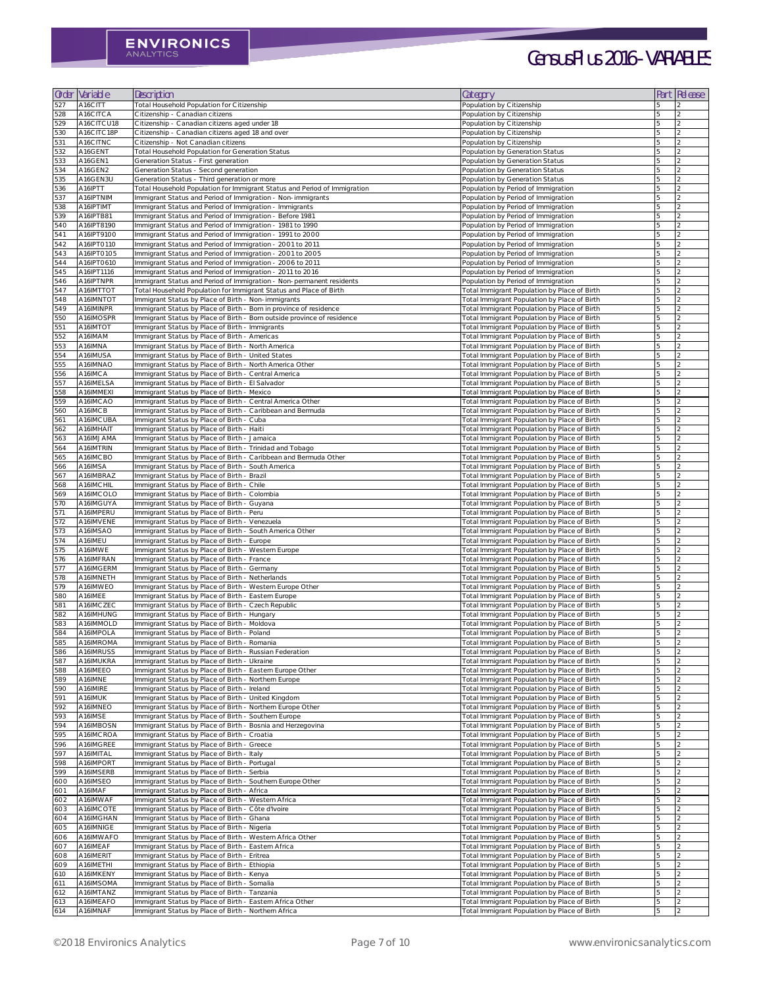| Order             | Variable                 | Description                                                                                                                              | Category                                                                                     | Part | Release        |
|-------------------|--------------------------|------------------------------------------------------------------------------------------------------------------------------------------|----------------------------------------------------------------------------------------------|------|----------------|
| 527               | A16CITT                  | Total Household Population for Citizenship                                                                                               | Population by Citizenship                                                                    |      |                |
| 528<br>529        | A16CITCA<br>A16CITCU18   | Citizenship - Canadian citizens<br>Citizenship - Canadian citizens aged under 18                                                         | Population by Citizenship<br>Population by Citizenship                                       |      |                |
| 530               | A16CITC18P               | Citizenship - Canadian citizens aged 18 and over                                                                                         | Population by Citizenship                                                                    |      |                |
| 531               | A16CITNC                 | Citizenship - Not Canadian citizens                                                                                                      | Population by Citizenship                                                                    |      |                |
| 532<br>533        | A16GENT<br>A16GEN1       | Total Household Population for Generation Status<br>Generation Status - First generation                                                 | Population by Generation Status<br>Population by Generation Status                           |      |                |
| 534               | A16GEN2                  | Generation Status - Second generation                                                                                                    | Population by Generation Status                                                              |      |                |
| 535               | A16GEN3U                 | Generation Status - Third generation or more                                                                                             | Population by Generation Status                                                              |      |                |
| 536<br>537        | A16IPTT<br>A16IPTNIM     | Total Household Population for Immigrant Status and Period of Immigration<br>Immigrant Status and Period of Immigration - Non-immigrants | Population by Period of Immigration<br>Population by Period of Immigration                   |      |                |
| 538               | A16IPTIMT                | Immigrant Status and Period of Immigration - Immigrants                                                                                  | Population by Period of Immigration                                                          |      |                |
| 539               | A16IPTB81                | Immigrant Status and Period of Immigration - Before 1981                                                                                 | Population by Period of Immigration                                                          |      |                |
| 540<br>541        | A16IPT8190<br>A16IPT9100 | Immigrant Status and Period of Immigration - 1981 to 1990<br>Immigrant Status and Period of Immigration - 1991 to 2000                   | Population by Period of Immigration<br>Population by Period of Immigration                   |      |                |
| 542               | A16IPT0110               | Immigrant Status and Period of Immigration - 2001 to 2011                                                                                | Population by Period of Immigration                                                          |      |                |
| 543<br>544        | A16IPT0105<br>A16IPT0610 | Immigrant Status and Period of Immigration - 2001 to 2005<br>Immigrant Status and Period of Immigration - 2006 to 2011                   | Population by Period of Immigration<br>Population by Period of Immigration                   |      |                |
| 545               | A16IPT1116               | Immigrant Status and Period of Immigration - 2011 to 2016                                                                                | Population by Period of Immigration                                                          |      |                |
| 546               | A16IPTNPR                | Immigrant Status and Period of Immigration - Non-permanent residents                                                                     | Population by Period of Immigration                                                          |      |                |
| 547<br>548        | A16IMTTOT<br>A16IMNTOT   | Total Household Population for Immigrant Status and Place of Birth<br>Immigrant Status by Place of Birth - Non-immigrants                | Total Immigrant Population by Place of Birth<br>Total Immigrant Population by Place of Birth |      |                |
| 549               | A16IMINPR                | Immigrant Status by Place of Birth - Born in province of residence                                                                       | Total Immigrant Population by Place of Birth                                                 |      |                |
| 550               | A16IMOSPR                | Immigrant Status by Place of Birth - Born outside province of residence                                                                  | Total Immigrant Population by Place of Birth                                                 |      |                |
| 551<br>552        | A16IMTOT<br>A16IMAM      | Immigrant Status by Place of Birth - Immigrants<br>Immigrant Status by Place of Birth - Americas                                         | Total Immigrant Population by Place of Birth<br>Total Immigrant Population by Place of Birth | 5    |                |
| 553               | A16IMNA                  | Immigrant Status by Place of Birth - North America                                                                                       | Total Immigrant Population by Place of Birth                                                 |      |                |
| 554               | A16IMUSA                 | Immigrant Status by Place of Birth - United States                                                                                       | Total Immigrant Population by Place of Birth                                                 |      |                |
| 555<br>556        | A16IMNAO<br>A16IMCA      | Immigrant Status by Place of Birth - North America Other<br>Immigrant Status by Place of Birth - Central America                         | Total Immigrant Population by Place of Birth<br>Total Immigrant Population by Place of Birth | 5    |                |
| 557               | A16IMELSA                | Immigrant Status by Place of Birth - El Salvador                                                                                         | Total Immigrant Population by Place of Birth                                                 |      |                |
| 558<br>559        | A16IMMEXI<br>A16IMCAO    | Immigrant Status by Place of Birth - Mexico<br>Immigrant Status by Place of Birth - Central America Other                                | Total Immigrant Population by Place of Birth<br>Total Immigrant Population by Place of Birth |      |                |
| 560               | A16IMCB                  | Immigrant Status by Place of Birth - Caribbean and Bermuda                                                                               | Total Immigrant Population by Place of Birth                                                 |      |                |
| 561               | A16IMCUBA                | Immigrant Status by Place of Birth - Cuba                                                                                                | Total Immigrant Population by Place of Birth                                                 |      |                |
| 562<br>563        | A16IMHAIT<br>A16IMJAMA   | Immigrant Status by Place of Birth - Haiti<br>Immigrant Status by Place of Birth - Jamaica                                               | Total Immigrant Population by Place of Birth<br>Total Immigrant Population by Place of Birth |      |                |
| 564               | A16IMTRIN                | Immigrant Status by Place of Birth - Trinidad and Tobago                                                                                 | Total Immigrant Population by Place of Birth                                                 |      |                |
| 565               | A16IMCBO                 | Immigrant Status by Place of Birth - Caribbean and Bermuda Other                                                                         | Total Immigrant Population by Place of Birth                                                 |      |                |
| 566<br>567        | A16IMSA<br>A16IMBRAZ     | Immigrant Status by Place of Birth - South America<br>Immigrant Status by Place of Birth - Brazil                                        | Total Immigrant Population by Place of Birth<br>Total Immigrant Population by Place of Birth |      |                |
| 568               | A16IMCHIL                | Immigrant Status by Place of Birth - Chile                                                                                               | Total Immigrant Population by Place of Birth                                                 |      |                |
| 569<br><b>570</b> | A16IMCOLO<br>A16IMGUYA   | Immigrant Status by Place of Birth - Colombia<br>Immigrant Status by Place of Birth - Guyana                                             | Total Immigrant Population by Place of Birth<br>Total Immigrant Population by Place of Birth |      |                |
| 571               | A16IMPERU                | Immigrant Status by Place of Birth - Peru                                                                                                | Total Immigrant Population by Place of Birth                                                 |      |                |
| 572               | A16IMVENE                | Immigrant Status by Place of Birth - Venezuela                                                                                           | Total Immigrant Population by Place of Birth                                                 |      |                |
| 573<br>574        | A16IMSAO<br>A16IMEU      | Immigrant Status by Place of Birth - South America Other<br>Immigrant Status by Place of Birth - Europe                                  | Total Immigrant Population by Place of Birth<br>Total Immigrant Population by Place of Birth |      |                |
| 575               | A16IMWE                  | Immigrant Status by Place of Birth - Western Europe                                                                                      | Total Immigrant Population by Place of Birth                                                 |      |                |
| 576               | A16IMFRAN                | Immigrant Status by Place of Birth - France                                                                                              | Total Immigrant Population by Place of Birth                                                 |      |                |
| 577<br>578        | A16IMGERM<br>A16IMNETH   | Immigrant Status by Place of Birth - Germany<br>Immigrant Status by Place of Birth - Netherlands                                         | Total Immigrant Population by Place of Birth<br>Total Immigrant Population by Place of Birth |      |                |
| 579               | A16IMWEO                 | Immigrant Status by Place of Birth - Western Europe Other                                                                                | Total Immigrant Population by Place of Birth                                                 |      |                |
| 580<br>581        | A16IMEE<br>A16IMCZEC     | Immigrant Status by Place of Birth - Eastern Europe<br>Immigrant Status by Place of Birth - Czech Republic                               | Total Immigrant Population by Place of Birth<br>Total Immigrant Population by Place of Birth |      |                |
| 582               | A16IMHUNG                | Immigrant Status by Place of Birth - Hungary                                                                                             | Total Immigrant Population by Place of Birth                                                 |      |                |
| 583               | A16IMMOLD                | Immigrant Status by Place of Birth - Moldova                                                                                             | Total Immigrant Population by Place of Birth                                                 |      |                |
| 584<br>585        | A16IMPOLA<br>A16IMROMA   | Immigrant Status by Place of Birth - Poland<br>Immigrant Status by Place of Birth - Romania                                              | Total Immigrant Population by Place of Birth<br>Total Immigrant Population by Place of Birth |      |                |
| 586               | A16IMRUSS                | Immigrant Status by Place of Birth - Russian Federation                                                                                  | Total Immigrant Population by Place of Birth                                                 |      |                |
| 587               | A16IMUKRA                | Immigrant Status by Place of Birth - Ukraine                                                                                             | Total Immigrant Population by Place of Birth                                                 |      | $\overline{2}$ |
| 588<br>589        | A16IMEEO<br>A16IMNE      | Immigrant Status by Place of Birth - Eastern Europe Other<br>Immigrant Status by Place of Birth - Northern Europe                        | Total Immigrant Population by Place of Birth<br>Total Immigrant Population by Place of Birth |      |                |
| 590               | A16IMIRE                 | Immigrant Status by Place of Birth - Ireland                                                                                             | Total Immigrant Population by Place of Birth                                                 |      |                |
| 591<br>592        | A16IMUK<br>A16IMNEO      | Immigrant Status by Place of Birth - United Kingdom                                                                                      | Total Immigrant Population by Place of Birth                                                 |      |                |
| 593               | A16IMSE                  | Immigrant Status by Place of Birth - Northern Europe Other<br>Immigrant Status by Place of Birth - Southern Europe                       | Total Immigrant Population by Place of Birth<br>Total Immigrant Population by Place of Birth |      |                |
| 594               | A16IMBOSN                | Immigrant Status by Place of Birth - Bosnia and Herzegovina                                                                              | Total Immigrant Population by Place of Birth                                                 |      |                |
| 595<br>596        | A16IMCROA<br>A16IMGREE   | Immigrant Status by Place of Birth - Croatia<br>Immigrant Status by Place of Birth - Greece                                              | Total Immigrant Population by Place of Birth<br>Total Immigrant Population by Place of Birth |      |                |
| 597               | A16IMITAL                | Immigrant Status by Place of Birth - Italy                                                                                               | Total Immigrant Population by Place of Birth                                                 |      |                |
| 598               | A16IMPORT                | Immigrant Status by Place of Birth - Portugal                                                                                            | Total Immigrant Population by Place of Birth                                                 |      |                |
| 599<br>600        | A16IMSERB<br>A16IMSEO    | Immigrant Status by Place of Birth - Serbia<br>Immigrant Status by Place of Birth - Southern Europe Other                                | Total Immigrant Population by Place of Birth<br>Total Immigrant Population by Place of Birth |      |                |
| 601               | A16IMAF                  | Immigrant Status by Place of Birth - Africa                                                                                              | Total Immigrant Population by Place of Birth                                                 |      |                |
| 602               | A16IMWAF                 | Immigrant Status by Place of Birth - Western Africa                                                                                      | Total Immigrant Population by Place of Birth                                                 |      |                |
| 603<br>604        | A16IMCOTE<br>A16IMGHAN   | Immigrant Status by Place of Birth - Côte d'Ivoire<br>Immigrant Status by Place of Birth - Ghana                                         | Total Immigrant Population by Place of Birth<br>Total Immigrant Population by Place of Birth |      |                |
| 605               | A16IMNIGE                | Immigrant Status by Place of Birth - Nigeria                                                                                             | Total Immigrant Population by Place of Birth                                                 |      |                |
| 606<br>607        | A16IMWAFO<br>A16IMEAF    | Immigrant Status by Place of Birth - Western Africa Other<br>Immigrant Status by Place of Birth - Eastern Africa                         | Total Immigrant Population by Place of Birth<br>Total Immigrant Population by Place of Birth |      |                |
| 608               | A16IMERIT                | Immigrant Status by Place of Birth - Eritrea                                                                                             | Total Immigrant Population by Place of Birth                                                 |      |                |
| 609               | A16IMETHI                | Immigrant Status by Place of Birth - Ethiopia                                                                                            | Total Immigrant Population by Place of Birth                                                 |      |                |
| <b>610</b><br>611 | A16IMKENY<br>A16IMSOMA   | Immigrant Status by Place of Birth - Kenya<br>Immigrant Status by Place of Birth - Somalia                                               | Total Immigrant Population by Place of Birth<br>Total Immigrant Population by Place of Birth |      |                |
| 612               | A16IMTANZ                | Immigrant Status by Place of Birth - Tanzania                                                                                            | Total Immigrant Population by Place of Birth                                                 |      |                |
| 613               | A16IMEAFO                | Immigrant Status by Place of Birth - Eastern Africa Other                                                                                | Total Immigrant Population by Place of Birth                                                 |      |                |
| 614               | A16IMNAF                 | Immigrant Status by Place of Birth - Northern Africa                                                                                     | Total Immigrant Population by Place of Birth                                                 |      |                |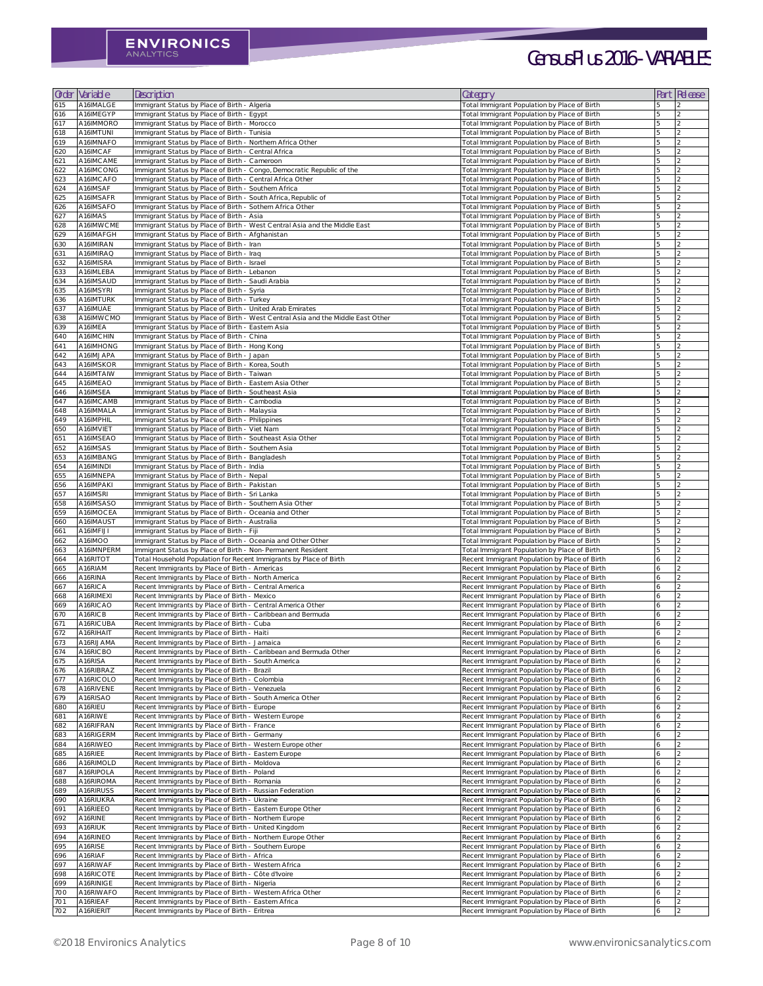| Order      | Variable               | Description                                                                                               | Category                                                                                       |               | Part Release |
|------------|------------------------|-----------------------------------------------------------------------------------------------------------|------------------------------------------------------------------------------------------------|---------------|--------------|
| 615        | A16IMALGE              | Immigrant Status by Place of Birth - Algeria                                                              | Total Immigrant Population by Place of Birth                                                   |               |              |
| 616        | A16IMEGYP              | Immigrant Status by Place of Birth - Egypt                                                                | Total Immigrant Population by Place of Birth                                                   |               |              |
| 617        | A16IMMORO              | Immigrant Status by Place of Birth - Morocco                                                              | Total Immigrant Population by Place of Birth                                                   |               |              |
| 618        | A16IMTUNI              | Immigrant Status by Place of Birth - Tunisia                                                              | Total Immigrant Population by Place of Birth                                                   |               |              |
| 619        | A16IMNAFO              | Immigrant Status by Place of Birth - Northern Africa Other                                                | Total Immigrant Population by Place of Birth                                                   |               |              |
| 620        | A16IMCAF               | Immigrant Status by Place of Birth - Central Africa                                                       | Total Immigrant Population by Place of Birth                                                   |               |              |
| 621        | A16IMCAME              | Immigrant Status by Place of Birth - Cameroon                                                             | Total Immigrant Population by Place of Birth                                                   |               |              |
| 622        | A16IMCONG              | Immigrant Status by Place of Birth - Congo, Democratic Republic of the                                    | Total Immigrant Population by Place of Birth                                                   |               |              |
| 623        | A16IMCAFO              | Immigrant Status by Place of Birth - Central Africa Other                                                 | Total Immigrant Population by Place of Birth                                                   |               |              |
| 624        | A16IMSAF               | Immigrant Status by Place of Birth - Southern Africa                                                      | Total Immigrant Population by Place of Birth                                                   |               |              |
| 625        | A16IMSAFR              | Immigrant Status by Place of Birth - South Africa, Republic of                                            | Total Immigrant Population by Place of Birth                                                   |               |              |
| 626        | A16IMSAFO              | Immigrant Status by Place of Birth - Sothern Africa Other                                                 | Total Immigrant Population by Place of Birth                                                   |               |              |
| 627        | A16IMAS                | Immigrant Status by Place of Birth - Asia                                                                 | Total Immigrant Population by Place of Birth                                                   |               |              |
| 628        | A16IMWCME              | Immigrant Status by Place of Birth - West Central Asia and the Middle East                                | Total Immigrant Population by Place of Birth                                                   |               |              |
| 629        | A16IMAFGH              | Immigrant Status by Place of Birth - Afghanistan                                                          | Total Immigrant Population by Place of Birth                                                   |               |              |
| 630        | A16IMIRAN              | Immigrant Status by Place of Birth - Iran                                                                 | Total Immigrant Population by Place of Birth                                                   |               |              |
| 631        | A16IMIRAQ              | Immigrant Status by Place of Birth - Iraq<br>Immigrant Status by Place of Birth - Israel                  | Total Immigrant Population by Place of Birth                                                   |               |              |
| 632<br>633 | A16IMISRA<br>A16IMLEBA | Immigrant Status by Place of Birth - Lebanon                                                              | Total Immigrant Population by Place of Birth<br>Total Immigrant Population by Place of Birth   |               |              |
| 634        | A16IMSAUD              | Immigrant Status by Place of Birth - Saudi Arabia                                                         | Total Immigrant Population by Place of Birth                                                   |               |              |
| 635        | A16IMSYRI              | Immigrant Status by Place of Birth - Syria                                                                | Total Immigrant Population by Place of Birth                                                   |               |              |
| 636        | A16IMTURK              | Immigrant Status by Place of Birth - Turkey                                                               | Total Immigrant Population by Place of Birth                                                   |               |              |
| 637        | A16IMUAE               | Immigrant Status by Place of Birth - United Arab Emirates                                                 | Total Immigrant Population by Place of Birth                                                   |               |              |
| 638        | A16IMWCMO              | Immigrant Status by Place of Birth - West Central Asia and the Middle East Other                          | Total Immigrant Population by Place of Birth                                                   |               |              |
| 639        | A16IMEA                | Immigrant Status by Place of Birth - Eastern Asia                                                         | Total Immigrant Population by Place of Birth                                                   |               |              |
| <b>640</b> | A16IMCHIN              | Immigrant Status by Place of Birth - China                                                                | Total Immigrant Population by Place of Birth                                                   |               |              |
| 641        | A16IMHONG              | Immigrant Status by Place of Birth - Hong Kong                                                            | Total Immigrant Population by Place of Birth                                                   |               |              |
| 642        | A16IMJAPA              | Immigrant Status by Place of Birth - Japan                                                                | Total Immigrant Population by Place of Birth                                                   |               |              |
| 643        | A16IMSKOR              | Immigrant Status by Place of Birth - Korea, South                                                         | Total Immigrant Population by Place of Birth                                                   |               |              |
| 644        | A16IMTAIW              | Immigrant Status by Place of Birth - Taiwan                                                               | Total Immigrant Population by Place of Birth                                                   | $\mathcal{D}$ |              |
| 645        | A16IMEAO               | Immigrant Status by Place of Birth - Eastern Asia Other                                                   | Total Immigrant Population by Place of Birth                                                   |               |              |
| 646        | A16IMSEA               | Immigrant Status by Place of Birth - Southeast Asia                                                       | Total Immigrant Population by Place of Birth                                                   |               |              |
| 647        | A16IMCAMB              | Immigrant Status by Place of Birth - Cambodia                                                             | Total Immigrant Population by Place of Birth                                                   |               |              |
| 648        | A16IMMALA              | Immigrant Status by Place of Birth - Malaysia                                                             | Total Immigrant Population by Place of Birth                                                   |               |              |
| 649        | A16IMPHIL              | Immigrant Status by Place of Birth - Philippines                                                          | Total Immigrant Population by Place of Birth                                                   |               |              |
| 650        | A16IMVIET              | Immigrant Status by Place of Birth - Viet Nam                                                             | Total Immigrant Population by Place of Birth                                                   |               |              |
| 651        | A16IMSEAO              | Immigrant Status by Place of Birth - Southeast Asia Other                                                 | Total Immigrant Population by Place of Birth                                                   |               |              |
| 652        | A16IMSAS               | Immigrant Status by Place of Birth - Southern Asia                                                        | Total Immigrant Population by Place of Birth                                                   |               |              |
| 653        | A16IMBANG              | Immigrant Status by Place of Birth - Bangladesh                                                           | Total Immigrant Population by Place of Birth                                                   |               |              |
| 654        | A16IMINDI              | Immigrant Status by Place of Birth - India                                                                | Total Immigrant Population by Place of Birth                                                   |               |              |
| 655        | A16IMNEPA              | Immigrant Status by Place of Birth - Nepal                                                                | Total Immigrant Population by Place of Birth                                                   |               |              |
| 656        | A16IMPAKI              | Immigrant Status by Place of Birth - Pakistan                                                             | Total Immigrant Population by Place of Birth                                                   |               |              |
| 657        | A16IMSRI               | Immigrant Status by Place of Birth - Sri Lanka                                                            | Total Immigrant Population by Place of Birth                                                   |               |              |
| 658        | A16IMSASO              | Immigrant Status by Place of Birth - Southern Asia Other                                                  | Total Immigrant Population by Place of Birth                                                   |               |              |
| 659        | A16IMOCEA              | Immigrant Status by Place of Birth - Oceania and Other                                                    | Total Immigrant Population by Place of Birth                                                   |               |              |
| 660        | A16IMAUST              | Immigrant Status by Place of Birth - Australia                                                            | Total Immigrant Population by Place of Birth                                                   |               |              |
| 661        | A16IMFIJI              | Immigrant Status by Place of Birth - Fiji                                                                 | Total Immigrant Population by Place of Birth                                                   |               |              |
| 662        | A16IMOO                | Immigrant Status by Place of Birth - Oceania and Other Other                                              | Total Immigrant Population by Place of Birth                                                   |               |              |
| 663        | A16IMNPERM             | Immigrant Status by Place of Birth - Non-Permanent Resident                                               | Total Immigrant Population by Place of Birth                                                   |               |              |
| 664        | A16RITOT               | Total Household Population for Recent Immigrants by Place of Birth                                        | Recent Immigrant Population by Place of Birth                                                  |               |              |
| 665        | A16RIAM                | Recent Immigrants by Place of Birth - Americas                                                            | Recent Immigrant Population by Place of Birth                                                  | 6             |              |
| 666        | A16RINA                | Recent Immigrants by Place of Birth - North America                                                       | Recent Immigrant Population by Place of Birth                                                  | 6             |              |
| 667        | A16RICA                | Recent Immigrants by Place of Birth - Central America                                                     | Recent Immigrant Population by Place of Birth                                                  | 6             |              |
| 668        | A16RIMEXI              | Recent Immigrants by Place of Birth - Mexico                                                              | Recent Immigrant Population by Place of Birth                                                  | 6             |              |
| 669        | A16RICAO<br>A16RICB    | Recent Immigrants by Place of Birth - Central America Other                                               | Recent Immigrant Population by Place of Birth                                                  | 6<br>6        |              |
| 670        | A16RICUBA              | Recent Immigrants by Place of Birth - Caribbean and Bermuda<br>Recent Immigrants by Place of Birth - Cuba | Recent Immigrant Population by Place of Birth<br>Recent Immigrant Population by Place of Birth | 6             |              |
| 671<br>672 | A16RIHAIT              | Recent Immigrants by Place of Birth - Haiti                                                               | Recent Immigrant Population by Place of Birth                                                  | 6             |              |
| 673        | A16RIJAMA              | Recent Immigrants by Place of Birth - Jamaica                                                             | Recent Immigrant Population by Place of Birth                                                  | 6             |              |
| 674        | A16RICBO               | Recent Immigrants by Place of Birth - Caribbean and Bermuda Other                                         | Recent Immigrant Population by Place of Birth                                                  | 6             |              |
| 675        | A16RISA                | Recent Immigrants by Place of Birth - South America                                                       | Recent Immigrant Population by Place of Birth                                                  | 6             |              |
| 676        | A16RIBRAZ              | Recent Immigrants by Place of Birth - Brazil                                                              | Recent Immigrant Population by Place of Birth                                                  | 6             |              |
| 677        | A16RICOLO              | Recent Immigrants by Place of Birth - Colombia                                                            | Recent Immigrant Population by Place of Birth                                                  | 6             |              |
| 678        | A16RIVENE              | Recent Immigrants by Place of Birth - Venezuela                                                           | Recent Immigrant Population by Place of Birth                                                  | 6             |              |
| 679        | A16RISAO               | Recent Immigrants by Place of Birth - South America Other                                                 | Recent Immigrant Population by Place of Birth                                                  | 6             |              |
| 680        | A16RIEU                | Recent Immigrants by Place of Birth - Europe                                                              | Recent Immigrant Population by Place of Birth                                                  | 6             |              |
| 681        | A16RIWE                | Recent Immigrants by Place of Birth - Western Europe                                                      | Recent Immigrant Population by Place of Birth                                                  | 6             |              |
| 682        | A16RIFRAN              | Recent Immigrants by Place of Birth - France                                                              | Recent Immigrant Population by Place of Birth                                                  | 6             |              |
| 683        | A16RIGERM              | Recent Immigrants by Place of Birth - Germany                                                             | Recent Immigrant Population by Place of Birth                                                  | 6             |              |
| 684        | A16RIWEO               | Recent Immigrants by Place of Birth - Western Europe other                                                | Recent Immigrant Population by Place of Birth                                                  | 6             |              |
| 685        | A16RIEE                | Recent Immigrants by Place of Birth - Eastern Europe                                                      | Recent Immigrant Population by Place of Birth                                                  | 6             |              |
| 686        | A16RIMOLD              | Recent Immigrants by Place of Birth - Moldova                                                             | Recent Immigrant Population by Place of Birth                                                  | 6             |              |
| 687        | A16RIPOLA              | Recent Immigrants by Place of Birth - Poland                                                              | Recent Immigrant Population by Place of Birth                                                  | 6             |              |
| 688        | A16RIROMA              | Recent Immigrants by Place of Birth - Romania                                                             | Recent Immigrant Population by Place of Birth                                                  | 6             |              |
| 689        | A16RIRUSS              | Recent Immigrants by Place of Birth - Russian Federation                                                  | Recent Immigrant Population by Place of Birth                                                  | 6             |              |
| 690        | A16RIUKRA              | Recent Immigrants by Place of Birth - Ukraine                                                             | Recent Immigrant Population by Place of Birth                                                  | 6             |              |
| 691        | A16RIEEO               | Recent Immigrants by Place of Birth - Eastern Europe Other                                                | Recent Immigrant Population by Place of Birth                                                  | 6             |              |
| 692        | A16RINE                | Recent Immigrants by Place of Birth - Northern Europe                                                     | Recent Immigrant Population by Place of Birth                                                  | 6             |              |
| 693        | A16RIUK                | Recent Immigrants by Place of Birth - United Kingdom                                                      | Recent Immigrant Population by Place of Birth                                                  | 6             |              |
| 694        | A16RINEO               | Recent Immigrants by Place of Birth - Northern Europe Other                                               | Recent Immigrant Population by Place of Birth                                                  | 6             |              |
| 695        | A16RISE                | Recent Immigrants by Place of Birth - Southern Europe                                                     | Recent Immigrant Population by Place of Birth                                                  | 6             |              |
| 696        | A16RIAF                | Recent Immigrants by Place of Birth - Africa                                                              | Recent Immigrant Population by Place of Birth                                                  | 6             |              |
| 697        | A16RIWAF               | Recent Immigrants by Place of Birth - Western Africa                                                      | Recent Immigrant Population by Place of Birth                                                  | 6             |              |
| 698        | A16RICOTE              | Recent Immigrants by Place of Birth - Côte d'Ivoire                                                       | Recent Immigrant Population by Place of Birth                                                  | 6             |              |
| 699        | A16RINIGE              | Recent Immigrants by Place of Birth - Nigeria                                                             | Recent Immigrant Population by Place of Birth                                                  | 6             |              |
| 700        | A16RIWAFO              | Recent Immigrants by Place of Birth - Western Africa Other                                                | Recent Immigrant Population by Place of Birth                                                  | 6             |              |
| 701        | A16RIEAF               | Recent Immigrants by Place of Birth - Eastern Africa                                                      | Recent Immigrant Population by Place of Birth                                                  | 6             |              |
| 702        | A16RIERIT              | Recent Immigrants by Place of Birth - Eritrea                                                             | Recent Immigrant Population by Place of Birth                                                  | 6             |              |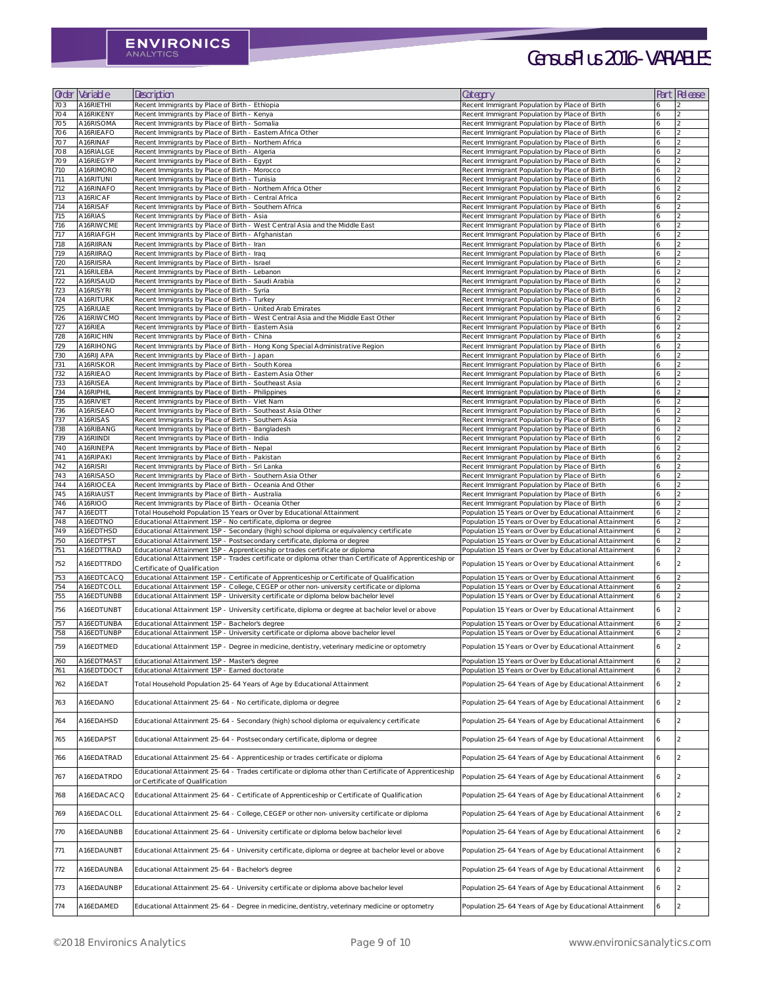| Order             | Variable               | Description                                                                                                                                     | Category                                                                                       | Part | Release |
|-------------------|------------------------|-------------------------------------------------------------------------------------------------------------------------------------------------|------------------------------------------------------------------------------------------------|------|---------|
| 703               | A16RIETHI              | Recent Immigrants by Place of Birth - Ethiopia                                                                                                  | Recent Immigrant Population by Place of Birth                                                  |      |         |
| 704               | A16RIKENY              | Recent Immigrants by Place of Birth - Kenya                                                                                                     | Recent Immigrant Population by Place of Birth                                                  |      |         |
| 705               | A16RISOMA              | Recent Immigrants by Place of Birth - Somalia                                                                                                   | Recent Immigrant Population by Place of Birth                                                  | 6    |         |
| 706               | A16RIEAFO              | Recent Immigrants by Place of Birth - Eastern Africa Other                                                                                      | Recent Immigrant Population by Place of Birth                                                  | 6    |         |
| 707               | A16RINAF               | Recent Immigrants by Place of Birth - Northern Africa                                                                                           | Recent Immigrant Population by Place of Birth                                                  |      |         |
| 708               | A16RIALGE              | Recent Immigrants by Place of Birth - Algeria                                                                                                   | Recent Immigrant Population by Place of Birth                                                  |      |         |
| 709               | A16RIEGYP              | Recent Immigrants by Place of Birth - Egypt                                                                                                     | Recent Immigrant Population by Place of Birth                                                  |      |         |
| 710               | A16RIMORO              | Recent Immigrants by Place of Birth - Morocco                                                                                                   | Recent Immigrant Population by Place of Birth                                                  | 6    |         |
| 711<br>712        | A16RITUNI<br>A16RINAFO | Recent Immigrants by Place of Birth - Tunisia<br>Recent Immigrants by Place of Birth - Northern Africa Other                                    | Recent Immigrant Population by Place of Birth<br>Recent Immigrant Population by Place of Birth |      |         |
| 713               | A16RICAF               | Recent Immigrants by Place of Birth - Central Africa                                                                                            | Recent Immigrant Population by Place of Birth                                                  | 6    |         |
| 714               | A16RISAF               | Recent Immigrants by Place of Birth - Southern Africa                                                                                           | Recent Immigrant Population by Place of Birth                                                  | 6    |         |
| 715               | A16RIAS                | Recent Immigrants by Place of Birth - Asia                                                                                                      | Recent Immigrant Population by Place of Birth                                                  |      |         |
| 716               | A16RIWCME              | Recent Immigrants by Place of Birth - West Central Asia and the Middle East                                                                     | Recent Immigrant Population by Place of Birth                                                  |      |         |
| 717               | A16RIAFGH              | Recent Immigrants by Place of Birth - Afghanistan                                                                                               | Recent Immigrant Population by Place of Birth                                                  |      |         |
| 718               | A16RIIRAN              | Recent Immigrants by Place of Birth - Iran                                                                                                      | Recent Immigrant Population by Place of Birth                                                  | 6    |         |
| 719               | A16RIIRAQ              | Recent Immigrants by Place of Birth - Iraq                                                                                                      | Recent Immigrant Population by Place of Birth                                                  | 6    |         |
| 720               | A16RIISRA              | Recent Immigrants by Place of Birth - Israel                                                                                                    | Recent Immigrant Population by Place of Birth                                                  | 6    |         |
| 721               | A16RILEBA              | Recent Immigrants by Place of Birth - Lebanon                                                                                                   | Recent Immigrant Population by Place of Birth                                                  | 6    |         |
| 722               | A16RISAUD              | Recent Immigrants by Place of Birth - Saudi Arabia                                                                                              | Recent Immigrant Population by Place of Birth                                                  |      |         |
| 723               | A16RISYRI              | Recent Immigrants by Place of Birth - Syria                                                                                                     | Recent Immigrant Population by Place of Birth                                                  |      |         |
| 724               | A16RITURK              | Recent Immigrants by Place of Birth - Turkey                                                                                                    | Recent Immigrant Population by Place of Birth                                                  | 6    |         |
| 725<br>726        | A16RIUAE<br>A16RIWCMO  | Recent Immigrants by Place of Birth - United Arab Emirates<br>Recent Immigrants by Place of Birth - West Central Asia and the Middle East Other | Recent Immigrant Population by Place of Birth<br>Recent Immigrant Population by Place of Birth |      |         |
| 727               | A16RIEA                | Recent Immigrants by Place of Birth - Eastern Asia                                                                                              | Recent Immigrant Population by Place of Birth                                                  | 6    |         |
| 728               | A16RICHIN              | Recent Immigrants by Place of Birth - China                                                                                                     | Recent Immigrant Population by Place of Birth                                                  | 6    |         |
| 729               | A16RIHONG              | Recent Immigrants by Place of Birth - Hong Kong Special Administrative Region                                                                   | Recent Immigrant Population by Place of Birth                                                  | 6    |         |
| 730               | A16RIJAPA              | Recent Immigrants by Place of Birth - Japan                                                                                                     | Recent Immigrant Population by Place of Birth                                                  |      |         |
| 731               | A16RISKOR              | Recent Immigrants by Place of Birth - South Korea                                                                                               | Recent Immigrant Population by Place of Birth                                                  | 6    |         |
| 732               | A16RIEAO               | Recent Immigrants by Place of Birth - Eastern Asia Other                                                                                        | Recent Immigrant Population by Place of Birth                                                  | 16   |         |
| 733               | A16RISEA               | Recent Immigrants by Place of Birth - Southeast Asia                                                                                            | Recent Immigrant Population by Place of Birth                                                  |      |         |
| 734               | A16RIPHIL              | Recent Immigrants by Place of Birth - Philippines                                                                                               | Recent Immigrant Population by Place of Birth                                                  |      |         |
| 735               | A16RIVIET              | Recent Immigrants by Place of Birth - Viet Nam                                                                                                  | Recent Immigrant Population by Place of Birth                                                  |      |         |
| 736               | A16RISEAO              | Recent Immigrants by Place of Birth - Southeast Asia Other                                                                                      | Recent Immigrant Population by Place of Birth                                                  | 6    |         |
| 737               | A16RISAS               | Recent Immigrants by Place of Birth - Southern Asia                                                                                             | Recent Immigrant Population by Place of Birth                                                  |      |         |
| 738               | A16RIBANG              | Recent Immigrants by Place of Birth - Bangladesh                                                                                                | Recent Immigrant Population by Place of Birth                                                  |      |         |
| 739<br><b>740</b> | A16RIINDI<br>A16RINEPA | Recent Immigrants by Place of Birth - India<br>Recent Immigrants by Place of Birth - Nepal                                                      | Recent Immigrant Population by Place of Birth<br>Recent Immigrant Population by Place of Birth |      |         |
| 741               | A16RIPAKI              | Recent Immigrants by Place of Birth - Pakistan                                                                                                  | Recent Immigrant Population by Place of Birth                                                  |      |         |
| 742               | A16RISRI               | Recent Immigrants by Place of Birth - Sri Lanka                                                                                                 | Recent Immigrant Population by Place of Birth                                                  |      |         |
| 743               | A16RISASO              | Recent Immigrants by Place of Birth - Southern Asia Other                                                                                       | Recent Immigrant Population by Place of Birth                                                  |      |         |
| 744               | A16RIOCEA              | Recent Immigrants by Place of Birth - Oceania And Other                                                                                         | Recent Immigrant Population by Place of Birth                                                  |      |         |
| 745               | A16RIAUST              | Recent Immigrants by Place of Birth - Australia                                                                                                 | Recent Immigrant Population by Place of Birth                                                  |      |         |
| 746               | A16RIOO                | Recent Immigrants by Place of Birth - Oceania Other                                                                                             | Recent Immigrant Population by Place of Birth                                                  |      |         |
| 747               | A16EDTT                | Total Household Population 15 Years or Over by Educational Attainment                                                                           | Population 15 Years or Over by Educational Attainment                                          | 6    |         |
| 748               | A16EDTNO               | Educational Attainment 15P - No certificate, diploma or degree                                                                                  | Population 15 Years or Over by Educational Attainment                                          | 6    |         |
| 749               | A16EDTHSD              | Educational Attainment 15P - Secondary (high) school diploma or equivalency certificate                                                         | Population 15 Years or Over by Educational Attainment                                          | 6    |         |
| 750               | A16EDTPST              | Educational Attainment 15P - Postsecondary certificate, diploma or degree                                                                       | Population 15 Years or Over by Educational Attainment                                          | 6    |         |
| 751               | A16EDTTRAD             | Educational Attainment 15P - Apprenticeship or trades certificate or diploma                                                                    | Population 15 Years or Over by Educational Attainment                                          | 6    |         |
| 752               | A16EDTTRDO             | Educational Attainment 15P - Trades certificate or diploma other than Certificate of Apprenticeship or<br>Certificate of Qualification          | Population 15 Years or Over by Educational Attainment                                          | 16   |         |
| 753               | A16EDTCACQ             | Educational Attainment 15P - Certificate of Apprenticeship or Certificate of Qualification                                                      | Population 15 Years or Over by Educational Attainment                                          | 6    |         |
| 754               | A16EDTCOLL             | Educational Attainment 15P - College, CEGEP or other non-university certificate or diploma                                                      | Population 15 Years or Over by Educational Attainment                                          | 6    |         |
| 755               | A16EDTUNBB             | Educational Attainment 15P - University certificate or diploma below bachelor level                                                             | Population 15 Years or Over by Educational Attainment                                          | 6    |         |
|                   |                        |                                                                                                                                                 |                                                                                                |      |         |
| 756               | A16EDTUNBT             | Educational Attainment 15P - University certificate, diploma or degree at bachelor level or above                                               | Population 15 Years or Over by Educational Attainment                                          | 6    |         |
| 757               | A16EDTUNBA             | Educational Attainment 15P - Bachelor's degree                                                                                                  | Population 15 Years or Over by Educational Attainment                                          | 6    |         |
| 758               | A16EDTUNBP             | Educational Attainment 15P - University certificate or diploma above bachelor level                                                             | Population 15 Years or Over by Educational Attainment                                          | 6    |         |
| 759               | A16EDTMED              | Educational Attainment 15P - Degree in medicine, dentistry, veterinary medicine or optometry                                                    | Population 15 Years or Over by Educational Attainment                                          | 6    |         |
|                   |                        |                                                                                                                                                 |                                                                                                |      |         |
| 760               | A16EDTMAST             | Educational Attainment 15P - Master's degree                                                                                                    | Population 15 Years or Over by Educational Attainment                                          | 6    |         |
| 761               | A16EDTDOCT             | Educational Attainment 15P - Earned doctorate                                                                                                   | Population 15 Years or Over by Educational Attainment                                          | 6    |         |
| 762               | A16EDAT                | Total Household Population 25-64 Years of Age by Educational Attainment                                                                         | Population 25-64 Years of Age by Educational Attainment                                        | 6    |         |
|                   |                        |                                                                                                                                                 |                                                                                                |      |         |
| 763               | A16EDANO               | Educational Attainment 25-64 - No certificate, diploma or degree                                                                                | Population 25-64 Years of Age by Educational Attainment                                        | 6    |         |
|                   |                        |                                                                                                                                                 |                                                                                                |      |         |
| 764               | A16EDAHSD              | Educational Attainment 25-64 - Secondary (high) school diploma or equivalency certificate                                                       | Population 25-64 Years of Age by Educational Attainment                                        | 6    |         |
|                   |                        |                                                                                                                                                 |                                                                                                |      |         |
| 765               | A16EDAPST              | Educational Attainment 25-64 - Postsecondary certificate, diploma or degree                                                                     | Population 25-64 Years of Age by Educational Attainment                                        | 6    |         |
|                   |                        |                                                                                                                                                 |                                                                                                |      |         |
| 766               | A16EDATRAD             | Educational Attainment 25-64 - Apprenticeship or trades certificate or diploma                                                                  | Population 25-64 Years of Age by Educational Attainment                                        | 6    |         |
| 767               | A16EDATRDO             | Educational Attainment 25-64 - Trades certificate or diploma other than Certificate of Apprenticeship                                           | Population 25-64 Years of Age by Educational Attainment                                        | 6    |         |
|                   |                        | or Certificate of Qualification                                                                                                                 |                                                                                                |      |         |
| 768               | A16EDACACQ             | Educational Attainment 25-64 - Certificate of Apprenticeship or Certificate of Qualification                                                    | Population 25-64 Years of Age by Educational Attainment                                        | 6    |         |
|                   |                        |                                                                                                                                                 |                                                                                                |      |         |
| 769               | A16EDACOLL             | Educational Attainment 25-64 - College, CEGEP or other non-university certificate or diploma                                                    | Population 25-64 Years of Age by Educational Attainment                                        | 6    |         |
|                   |                        |                                                                                                                                                 |                                                                                                |      |         |
| 770               | A16EDAUNBB             | Educational Attainment 25-64 - University certificate or diploma below bachelor level                                                           | Population 25-64 Years of Age by Educational Attainment                                        | 6    |         |
|                   |                        |                                                                                                                                                 |                                                                                                |      |         |
| 771               | A16EDAUNBT             | Educational Attainment 25-64 - University certificate, diploma or degree at bachelor level or above                                             | Population 25-64 Years of Age by Educational Attainment                                        | 6    |         |
|                   |                        |                                                                                                                                                 |                                                                                                |      |         |
| 772               | A16EDAUNBA             | Educational Attainment 25-64 - Bachelor's degree                                                                                                | Population 25-64 Years of Age by Educational Attainment                                        | 6    |         |
| 773               |                        |                                                                                                                                                 |                                                                                                |      |         |
|                   | A16EDAUNBP             | Educational Attainment 25-64 - University certificate or diploma above bachelor level                                                           | Population 25-64 Years of Age by Educational Attainment                                        | 6    |         |
| 774               | A16EDAMED              | Educational Attainment 25-64 - Degree in medicine, dentistry, veterinary medicine or optometry                                                  | Population 25-64 Years of Age by Educational Attainment                                        |      |         |
|                   |                        |                                                                                                                                                 |                                                                                                |      |         |